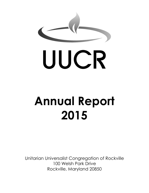

# UUCR

# **Annual Report 2015**

Unitarian Universalist Congregation of Rockville 100 Welsh Park Drive Rockville, Maryland 20850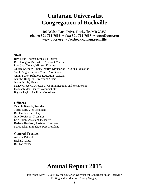### **Unitarian Universalist Congregation of Rockville**

**100 Welsh Park Drive, Rockville, MD 20850 phone: 301-762-7666 ~ fax: 301-762-7667 ~ uucr@uucr.org www.uucr.org ~ facebook.com/uu.rockville**

#### **Staff**

Rev. Lynn Thomas Strauss, Minister Rev. Douglas McCusker, Assistant Minister Rev. Jack Young, Minister Emeritus Andrea Spencer-Linzie, Interim Director of Religious Education Sarah Prager, Interim Youth Coordinator Ginny Scher, Religious Education Assistant Jennifer Rodgers, Director of Music Justin Furnia, Pianist Nancy Gregory, Director of Communications and Membership Donna Taylor, Church Administrator Bryant Taylor, Facilities Coordinator

#### **Officers**

Cynthia Bauerle, President Terrie Barr, Vice President Bill Hurlbut, Secretary Julie Robinson, Treasurer Eric Burch, Assistant Treasurer Barbara Harrison, Assistant Treasurer Narcy Klag, Immediate Past President

#### **General Trustees**

Adriana Brigatti Richard Chitty Bill Newhouse

## **Annual Report 2015**

Published May 17, 2015 by the Unitarian Universalist Congregation of Rockville Editing and production: Nancy Gregory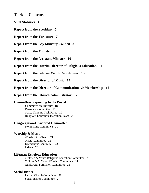#### **Table of Contents**

**Vital Statistics 4** 

**Report from the President 5** 

**Report from the Treasurer 7** 

**Report from the Lay Ministry Council 8** 

**Report from the Minister 9** 

**Report from the Assistant Minister 10** 

**Report from the Interim Director of Religious Education 11** 

**Report from the Interim Youth Coordinator 13** 

**Report from the Director of Music 14** 

**Report from the Director of Communications & Membership 15** 

**Report from the Church Administrator 17** 

#### **Committees Reporting to the Board**

Committee on Ministry 18 Personnel Committee 19 Space Planning Task Force 19 Religious Education Transition Team 20

#### **Congregation-Chartered Committee**

Nominating Committee 21

#### **Worship & Music**

Worship Arts Team 21 Music Committee 22 Decorations Committee 23 Ushers 23

#### **Lifespan Religious Education**

Children & Youth Religious Education Committee 23 Children's & Youth Worship Committee 24 Adult Faith Formation Committee 25

#### **Social Justice**

Partner Church Committee 26 Social Justice Committee 27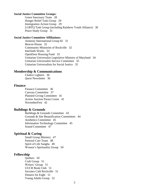#### **Social Justice Committee Groups:**

Green Sanctuary Team 28 Hunger Relief Task Group 29 Immigration Action Group 29 LGBTQ Task Group (including Rainbow Youth Alliance) 30 Peace Study Group 31

#### **Social Justice Committee Affiliations:**

Amnesty International Group 82 31 Beacon House 32 Community Ministries of Rockville 32 Interfaith Works 33 OpenDoor Housing Fund 33 Unitarian Universalist Legislative Ministry of Maryland 34 Unitarian Universalist Service Committee 35 Unitarian Universalists for Social Justice 35

#### **Membership & Communications**

Chalice Lighters 36 *Quest* Newsletter 36

#### **Finance**

Finance Committee 36 Canvass Committee 37 Planned Giving Committee 41 Action Auction Fiesta Cruise 41 NovemberFest 42

#### **Buildings & Grounds**

Buildings & Grounds Committee 43 Grounds & Site Beautification Committees 44 Aesthetics Committee 45 Information Technology Committee 45 Sound Committee 47

#### **Spiritual & Caring**

Small Group Ministry 47 Pastoral Care Team 48 Spirit of Life Sangha 49 Women's Spirituality Group 50

#### **Fellowship**

Quilters 50 Craft Group 51 Writers' Group 51 UUCR Book Club 51 Socrates Café Rockville 51 Dinners for Eight 51 Young Adults Group 52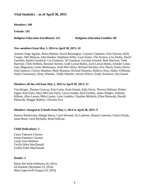#### **Vital Statistics – as of April 30, 2015**

**Members: 398**

**Friends: 145**

#### **Religious Education Enrollment: 125 Religious Education Families: 88**

#### **New members from May 1, 2014 to April 30, 2015: 42**

Antonio Jorge Aguilar, Bruce Baskett, David Bennington, Corynne Carpenter, Erin Claxton, Kelly Cooper, Deb Delavan, John Dunbar, Stephanie Feller, Lynn Foster, Tim Francis, Lisa Fredin, David Garofalo, Rachel Goodrich, Cat Goodyear, JP Goodyear, Lucinda Grinnell, Beth Harrison, Todd Harrison, Chris Holbein, Bronson Hoover, Leah Larson-Rabin, Zach Larson-Rabin, Jennifer Lyons, Gary Magnuson, Utako Matsumura, Anne McCaffrey, Richard Noreikis, Eric Norris, Karen Norris, Julia Santerre, Christy Shannon, Mark Shannon, Richard Simpson, Rebecca Sosa, Abbey Uffelman, Emily Untermeyer, Jenny Wheeler, Teddy Wheeler, Steven Wilcox, Emily Woolaver, Sue Zarrett

#### **Members off the roll from May 1, 2014 to April 30, 2015: 21**

Tina Berger, Thomas Conway, Kim Curtis, Katie Daniel, Sally Davis, Theresa Dellomo, Robert Eagen, Ken Early, Mary McCarty Early, Laura Gordon, Rick Gordon, James Hedges, Anthony Killeen, Alice Larsen, Mike Larsen, Lynn Luethke, Claudine Michelin, Ellen Pskowski, Harold Pskowski, Maggie Raftery, Christine Sow

#### **Members changed to Friends from May 1, 2014 to April 30, 2015: 9**

Jeanine Braithwaite, Margie Henry, Carol Howard, Art Latterner, Bonnie Latterner, Francis Purdy, Jason Reed, Carol Richards, Brian Sullivan

#### **Child Dedications: 5**

Casey Takenori Claxton James Fuminori Claxton Lindy Grey Heilman Cecilia Mary MacDonald Griffin Feller MacDonald

#### **Deaths: 3**

Maria Del Solar (February 26, 2015) Ed Kimball (December 25, 2014) Meta Lagerwerff (August 24, 2014)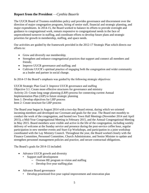#### **Report from the President** —*Cynthia Bauerle*

The UUCR Board of Trustees establishes policy and provides governance and discernment over the direction of major congregation programs, hiring of senior staff, financial and strategic planning, and major expenditures. In 2014-15, the Board worked to balance its efforts to provide oversight and guidance to congregational work, remain responsive to congregational needs in the face of unprecedented turnover in staffing, and coordinate efforts to develop future plans and strategic priorities for growth in membership, staffing, and space needs.

Our activities are guided by the framework provided in the 2012-17 Strategic Plan which directs our efforts to:

- Grow and diversify our membership;
- Strengthen and enhance congregational practices that support and connect all members and friends;
- Improve UUCR governance and staffing; and
- Cultivate UUCR's spiritual practice of engaging both the congregation and wider community as a leader and partner in social change.

In 2014-15 the Board's emphasis was guided by the following strategic objectives:

UUCR Strategic Plan Goal 3: Improve UUCR governance and staffing Objective 3.1: Create more effective structures for governance and ministry Activity 23: Create long range planning (LRP) process for connecting current Annual Implementation Plan (AIP) to future strategic planning Item 1: Develop objectives for LRP process Item 2: Create structure for LRP process

The Board year began in August 2014 with a two-day Board retreat, during which we oriented incoming members and developed our Covenant and goals for the year. The Board met monthly to conduct the work of the congregation, and hosted two Town Hall Meetings (November 2014 and April 2015), a Mid-Year Congregational Meeting in February 2015, and the Annual Congregational Meeting in May 2015. Board members were visible and active in the life of the congregation, including weekly delivery of welcome at the Sunday service and presence during the post-service coffee hour, regular participation in new member events and Start-Up Workshops, and participation in a joint workshop coordinated with the Lay Ministry Council. Throughout the year, the Board worked closely with the Finance Committee, Personnel Committee, Church Administrator, and Senior Minister to update and strengthen personnel management policies and practice, and secure contractual obligations.

The Board's goals for 2014-15 included:

- Advance UUCR growth and diversity
	- Support staff development
		- Oversee RE program re-vision and staffing
		- Develop five-year staffing plan
- Advance Board governance
	- Develop prioritized five-year capital improvement and renovation plan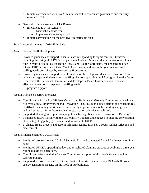- Initiate conversation with Lay Ministry Council to coordinate governance and ministry roles at UUCR
- Oversight of management of UUCR assets
	- Implement 2014-15 Canvass
		- Establish Canvass team
		- Implement Canvass approach
	- Initiate conversation for the next five-year strategic plan

Board accomplishments in 2014-15 include:

Goal 1: Support Staff Development

- Provided guidance and support to senior staff in responding to significant staff turnover, including the hiring of UUCR's first part-time Assistant Minister, the retirement of our longtime Director of Religious Education (DRE) and Youth Coordinator, the onboarding of an Interim DRE, hiring of an Interim Youth Coordinator, and late in the year, responding to staffing needs precipitated by year-end staff departures.
- Provided guidance and support in the formation of the Religious Education Transition Team, which is charged with developing a staffing plan for supporting the RE program into the future.
- Reactivated the Personnel Committee and developed a Board liaison position to ensure effective interaction in response to staffing needs.
- RE program support.

Goal 2: Advance Board Governance

- Coordinated with the Lay Ministry Council and Buildings & Grounds Committee to develop a five-year Capital Improvement and Renovation Plan. This plan guided actions and expenditures in 2014-15, including multiple access and safety improvements to the building and grounds, and will serve to inform future expenditures based on priorities established.
- Supported planning for capital campaign to enable significant space renovation of Building 1.
- Established Board liaison with the Lay Ministry Council, and engaged in ongoing conversation about integrating policy governance and ministry at UUCR.
- Evaluated Board process and accomplishments against goals set, through regular reflection and discernment.

Goal 3: Management of UUCR Assets

- Monitored progress toward 2012-17 Strategic Plan and conducted Annual Implementation Plan audit.
- Monitored UUCR's operating budget and established planning practice of evolving a three-year rolling budget for operations.
- Coordinated efforts with the Canvass Committee in support of this year's forward-looking Canvass budget.
- Supported efforts to reduce UUCR's ecological footprint by approving a PPA to build solar energy generating capacity on the roofs of our buildings.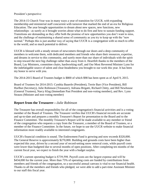President's perspective:

The 2014-15 Church Year was in many ways a year of transition for UUCR, with expanding membership and ministerial staff concurrent with turnover that marked the end of an era for Religious Education. The year brought opportunities to dream about new spaces, new functions, new relationships - as surely as it brought worries about what to do first and how to sustain funding support. Transitions are demanding as they offer both the promise of new opportunities you don't want to miss, and the challenge of maintaining a shared sense of community as you try to keep up with the "new normal." Perhaps this is just another way of saying that UUCR is a congregation with so much to offer to the world, and so much potential to deliver.

UUCR is blessed with a steady stream of newcomers through our doors and a deep community of members to welcome them, with dedicated members and friends who share their resources, expertise, and dreams in service to this community, and surely more than our share of individuals with the spirit to step toward the next big challenge rather than away from it. Heartfelt thanks to the members of the Board, Lay Ministers, committee chairs, hardworking staff, and Our Most Reverend Minister Lynn for the indefatigable source of talent and clear-headedness you brought to our work this year. It has been my honor to serve with you.

The 2014-2015 Board of Trustees budget is \$800 of which \$98 has been spent as of April 9, 2015.

Board of Trustees for 2014-2015: Cynthia Bauerle (President), Terrie Barr (Vice President), Bill Hurlbut (Secretary), Julie Robinson (Treasurer), Adriana Brigatti, Richard Chitty, and Bill Newhouse (General Trustees), Narcy Klag (Immediate Past President and non-voting member), and Rev. Lynn Strauss (Minister and non-voting member)

#### **Report from the Treasurer—***Julie Robinson*

The Treasurer has overall responsibility for all of the congregation's financial activities and is a voting member of the Board of Trustees. The Treasurer verifies that UUCR's financial records are accurate and up-to-date and prepares a monthly Treasurer's Report for presentation to the Board and to the Finance Committee. The monthly Treasurer's Report will be made available to any member or friend of the congregation who requests a copy from the Treasurer, a member of the Board of Trustees, or a member of the Finance Committee. In the future, we hope to use the UUCR website to make financial information more readily available to interested congregants.

UUCR's financial condition is sound. The Endowment Fund is growing and now exceeds \$320,000. The General Reserve is approximately \$270,000. Building and grounds costs have been higher than expected this year, driven by a second year of record-setting snow removal costs, while payroll costs were lower than budgeted due to several months of open positions. After completing ten months of the current fiscal year, we expect to finish the year with a budget surplus.

UUCR's current operating budget is \$739,598. Payroll costs are the largest expense and will be \$434,000 for the current year. More than 75% of operating costs are funded by contributions from members and friends of the congregation, so a successful annual canvass is vital to our financial health. Thanks to all the members and friends who pledged, we were able to add a part-time Assistant Minister to our staff this fiscal year.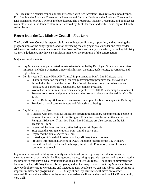The Treasurer's financial responsibilities are shared with two Assistant Treasurers and a bookkeeper. Eric Burch is the Assistant Treasurer for Receipts and Barbara Harrison is the Assistant Treasurer for Disbursements. Martha Taylor is the bookkeeper. The Treasurer, Assistant Treasurers, and bookkeeper work closely with the Finance Committee, chaired by Kent Hancock, and with Donna Taylor, Church Administrator.

#### **Report from the Lay Ministry Council—***Fran Lowe*

The Lay Ministry Council is responsible for visioning, coordinating, supporting, and evaluating the program areas of the congregation, and for overseeing the congregational calendar and may render advice and/or make recommendations to the Board of Trustees on any issue which, in the Lay Ministry Council's judgment, may have a significant impact on the programs of the congregation.

Major accomplishments:

- Lay Ministers have participated in extensive training led by Rev. Lynn Strauss and our intern ministers, including Unitarian Universalist history, theology, ecclesiology, governance, and right relations.
- Per this year's Strategic Plan AIP (Annual Implementation Plan), Lay Ministers have:
	- o Shared information regarding leadership development programs that are available through the district and the region. This list will become more comprehensive and formalized as part of the Leadership Development Program.
	- o Worked with our ministers to create a comprehensive UUCR Leadership Development Program for current and potential leaders; the first workshops are planned for May 30, 2015.
	- o Led the Buildings & Grounds team to assess and plan for first floor space in Building 1.
	- o Provided pastoral care workshops and fellowship gatherings.
- Lay Ministers have also:
	- o Assisted with the Religious Education program transition by recommending people to serve on the Interim Director of Religious Education Search Committee and on the Religious Education Transition Team. Lay Ministers are also serving on the RE Transition Team.
	- o Organized the Passover Seder, attended by almost 80 people.
	- o Supported the Multigenerational Fair Mind-Body-Spirit.
	- o Organized the annual Activities Fair.
	- o Hosted a joint Board of Trustees and Lay Ministry Council retreat.
	- o Provided informational articles in *Quest*, including "Basics of the Lay Ministry Council" and articles focused on hunger, Adult Faith Formation, pastoral care and community outreach.

Lay ministry is about building community and relationships, recognizing the value of ministry, viewing the church as a whole, facilitating transparency, bringing people together, and recognizing that the process of ministry is equally important as goals or objectives (ends). The initial commitment for being on the Lay Ministry Council is two years, and while many of our current Lay Ministers plan to stay, we look forward to welcoming and integrating new people so we can stay vibrant and continue to improve ministry and programs at UUCR. Many of our Lay Ministers will move on to other responsibilities and we believe the lay ministry experience will serve them and the UUCR community very well.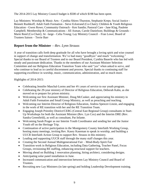The 2014-2015 Lay Ministry Council budget is \$500 of which \$198 has been spent.

Lay Ministers: Worship & Music Arts - Cynthia Shires-Thurston, Stephanie Kreps; Social Justice - Bennett Rushkoff; Adult Faith Formation - Steve Eckstrand (Co-Chair); Children & Youth Religious Education - Gwen Rowe; Community Outreach - Ken Sandin; Pastoral Care - Jane Klag, Paulette Campbell; Membership & Communications - Jill Asman, Carole Danielson; Buildings & Grounds - Marie Reed (Co-Chair); At –large - Celia Young; Lay Ministry Council – Fran Lowe; Board of Trustees liaison – Terrie Barr

#### **Report from the Minister** *—Rev. Lynn Strauss*

A year of transition calls forth deep gratitude for all who have brought a loving spirit and wise counsel in support of change and transformation. We've had many "goodbyes" and much "welcoming." Special thanks to our Board of Trustees and to our Board President, Cynthia Bauerle who has led with steady and passionate dedication. Thanks to the members of our Assistant Minister Selection Committee and our Religious Education Transition Team who said "yes" when asked to serve, and who continue to lead us in careful discernment and process. Special thanks to continuing staff for supporting excellence in worship, music, communication, administration, and so much more.

Highlights of 2014-2015:

- Celebrating Jennifer Maschal-Lorms and her  $4\frac{1}{2}$  years of service to our youth program.
- Celebrating the 29-year ministry of Director of Religious Education, Deborah Kahn, as she moved on to prepare for prison ministry.
- Welcoming our first Assistant Minister, Doug McCusker, and appreciating his ministry in Adult Faith Formation and Small Group Ministry, as well as preaching and teaching.
- Welcoming our Interim Director of Religious Education, Andrea Spencer-Linzie, and engaging in the work of RE transition with her and the RE Transition Team.
- Engaging Joseph Priestley District/CERG (Central East Regional Group) consultants in Start-Up Workshops for both the Assistant Minister (Rev. Lyn Cox) and the Interim DRE (Rev. Sandra Greenfield), as well as consultant, Pat Infante.
- Welcoming Sarah Prager as our Interim Youth Coordinator and sending her and the Junior Youth off on the Heritage Trip.
- Continuation of active participation in the Montgomery County Interfaith Working Group, hosting many meetings, inviting Rev. Kasey Kaseman to speak in worship, and building a UUCR Interfaith Action Group to support Rev. Strauss in this ministry.
- Leading and supporting UUCR staff through the many staff changes this year.
- Creating the Second Annual Multigenerational Fair Mind-Body-Spirit Fair
- Transition work in Religious Education, including Data Gathering, Teacher Panel, Focus Groups, revisioning RE staffing, enhancing structural support for teachers.
- Moving ahead on Building 1 renovation planning, hiring architect, considering designs.
- Anticipating solar panel installation in June.
- Increased communication and intersection between Lay Ministry Council and Board of Trustees.
- Recruiting new Lay Ministers (in late spring) and holding Leadership Development training.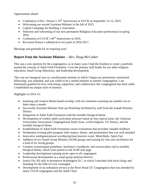Opportunities ahead:

- Celebration of Rev. Strauss's  $10^{th}$  Anniversary at UUCR on September 12-13, 2015.
- Welcoming our second Assistant Minister in the fall of 2015.
- Capitol Campaign for Building 1 renovation.
- Selection and welcoming of our next permanent Religious Education professional in spring 2016.
- Celebration of UUCR's  $60^{th}$  Anniversary in 2016.
- Reverend Strauss's sabbatical in two parts in 2016-2017.

Blessings and gratitude for an inspiring year!

#### **Report from the Assistant Minister** *—Rev. Doug McCusker*

This was a new position for the congregation, so in many ways I had the freedom to create a portfolio around the concept of Adult Faith Formation. I was the primary staff leader for our adult religious education, Small Group Ministries, and leadership development.

This was my inaugural year as a professional minister in which I began my preliminary ministerial fellowship, was ordained, and was called to be a settled minister at another congregation. I am immensely grateful for how welcoming, supportive, and collaborative this congregation has been while I established my unique style of ministry.

Highlights of 2014-15:

- Inspiring and creative theme-based worship, with two ministers assisting one another two to three times a month
- Successful Assistant Minister Start-up Workshop facilitated by staff from the Joseph Priestley District
- Integration of Adult Faith Formation with the monthly liturgical theme
- Development of weekly adult curriculum structure based on four topical areas: the Unitarian Universalist Association Congregational Study Issue, world religions, UU history, and the monthly liturgical theme
- Establishment of Adult Faith Formation course evaluations that provided valuable feedback
- Wednesday evening pilot program with vespers, dinner, and presentation that was well attended
- Innovative multigenerational worship/spiritual practice event: Mind-Body- Spirit Fair
- Addition of two Small Group Ministry (SGM) groups and training for four new facilitators for a total of six strong groups
- Creation of participant guidelines, facilitator's handbook, and session plans tied to monthly liturgical theme, which were posted on the SGM web page
- Leadership development training series open to all congregants
- Professional development as a small group spiritual director
- Justice For All rally in downtown Washington D.C. in which I marched with local clergy and Standing On the Side of Love contingent
- Development of an ordination service at the River Road UU Congregation that was attended by many UUCR congregants and the Adult Choir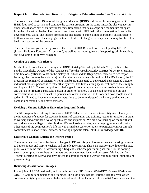#### **Report from the Interim Director of Religious Education**—*Andrea Spencer-Linzie*

The work of an Interim Director of Religious Education (IDRE) is different from a long-term DRE. An IDRE does need to sustain and continue the current program. At the same time, s/he also engages in other tasks that are part of an intentional transition period that has a shape and momentum set apart from that of a settled leader. The limited time of an Interim DRE helps the congregation focus on its developmental work. The interim professional also needs to shine a light on possibly uncomfortable truths and to work with the congregation to effect difficult changes that may be necessary for the future health and success of the program.

There are five categories for my work as the IDRE at UUCR, which were developed by LREDA (Liberal Religious Educators Association), as well as the ongoing work of supporting, administrating, and developing the current program.

#### **Coming to Terms with History**

Much of the history I learned through the IDRE Start-Up Workshop in March 2015, facilitated by Sandra Greenfield, Director of the Adjunct Staff for the Joseph Priestley District (JPD). By creating a time-line of significant events in the history of UUCR and its RE program, there were two major learnings that came to the surface: a) despite other ups and downs throughout UUCR's history, the RE program has remained consistently strong; and b) programs tend to get created and sustained based on individual persons/personalities rather than systems. The first learning speaks volumes of the strength and impact of RE. The second points to challenges in creating systems that are sustainable over time and that do not require a particular person in order to function. I've also had several one-on-one conversations with leaders, teachers, parents, and others about RE, its history and how people view it today. I still need to have many more conversations to better understand the history so that we can name it, understand it, and move forward.

#### **Evolving a Unique Religious Education Program Identity**

The RE program has a strong history with UUCR. What we have started to identify since January is the importance of support for teachers in terms of curriculum and training, respite for teachers in order to worship and/or further develop spirituality, and inspiration. We are also focusing on the fact that it really does take a village to raise children. We are looking to integrate more programmatically with other areas of the congregation's life, as well as make it easier for others to participate in RE through commitments to shorter time-periods, or sharing a specific talent, skill, or knowledge with RE.

#### **Leadership Changes During the Interim Period**

There have been no formal leadership changes in RE yet this year. However, we are focusing on ways to better support and inspire teachers and other leaders in RE. This is an area for growth over the next year. We are in the midst of determining a frequent teacher/helper training schedule for the coming year to better prepare teachers and helpers and engender new ideas and processes. We had our first Teacher Meeting on May 3 and have agreed to continue them as a way of communication, support, and programming.

#### **Renewing Associational Linkages**

I have joined LREDA nationally and through the local JPD. I attend GWAREC (Greater Washington Area RE Committee) meetings and trainings. The sixth grade had its Heritage Trip this year which consistently highlights our ties with the national work of the Unitarian Universalist Association and the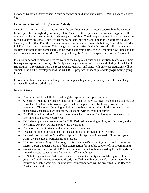history of Unitarian Universalism. Youth participation in district and cluster CONs this year was very high.

#### **Commitment to Future Program and Vitality**

One of the major initiatives in this area was the development of a trimester approach to the RE year from September through May, utilizing rotating teams of three persons. The trimester approach allows teachers and helpers to commit for a shorter period of time. The three-person team in each trimester for each class provides consistency. For teachers and helpers who want to be in the classroom all year, they may still do that. For others, a nine-month commitment is too much, but they can still be a leader in RE for one or two trimesters. This change will go into effect in the fall. As with all change, there is anxiety, but there is also some energy about trying something new. We will monitor how things go and make course corrections as needed. We are practicing the "discover, explore and practice" model here.

It is also important to mention here the work of the Religious Education Transition Team. While there is a separate report for its work, it is highly necessary to the future program and vitality of the UUCR RE program. Information from the focus groups, research, and visits with other congregations will be crucial to the further development of the UUCR RE program, its identity, and its programming going forward.

In summary, there are a few new things that are in place beginning in January, and a few challenges that we still need to work through.

New initiatives:

- Trimester model for fall 2015, utilizing three-person teams per trimester.
- Attendance tracking spreadsheet that captures data for individual teachers, students, and classes as well as attendance rates overall. (We used to use pencils and hash-tags; now we use computers.) This type of tracking will allow us to better know when children or youth have consecutive absences so we can follow up sooner with the youth or family.
- The Religious Education Assistant oversaw teacher schedules for classrooms to ensure that each class had coverage each week.
- IDRE developed new ceremonies for Child Dedication, Coming of Age, and Bridging, and a new MLK Day First Fifteen script with PowerPoint.
- Teachers' meeting initiated with commitment to continue.
- Teacher training in development for this summer and throughout the RE year.
- Successful support of the Mind-Body-Spirit Fair in April that integrated children and youth within the schedule as participants and leaders.
- RE Open House on May 10 for congregants to see what's happening in RE, and to generate interest across a greater portion of the congregation for tangible support of RE programming.
- Peace Camp is continuing at UUCR this summer, and is totally managed by Little Friends for Peace this year, reducing time for UUCR staff and volunteers.
- RE Safe Congregations Task Force created to ensure the safety and well-being of children, youth, and adults in RE. Windows already installed in all but one RE classroom. Two adults required for each classroom. Final policy recommendations will be presented to the Board of Trustees later in the year.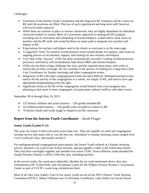Challenges:

- Transition of the Interim Youth Coordinator and the long-term RE Assistant will be a stress on RE until the positions are filled. The loss of such experienced and long-term staff, however, will not be easily replaced.
- While there are systems in place in various classrooms, they are highly dependent on individual classroom leaders to sustain. More of a systematic approach to running the RE program, including use of curriculum and scheduling of teachers/helpers, would relieve some stress on teachers and the RE staff, and would facilitate an easier path to integrate new teachers and helpers in RE.
- Expectations for teachers and helpers need to be clearer so everyone is on the same page.
- A suggested "term" for teachers would promote much needed breaks for teachers, and create an ongoing process of recruitment, support, and training for new teachers and helpers.
- Very little of the "process" of RE has been systematically recorded. Creating written protocols, processes, and history will tremendously help future DREs and teachers/helpers.
- Child care has been a huge challenge this year, and has required many hours each week to ensure that we have coverage. We are currently in the process of looking for a long-term Child Care Coordinator for Sunday mornings and other congregation events.
- Integration of RE with other congregational events has been difficult. Multigenerational events need to be the priority of the congregation as a whole, not simply of RE, and need to have ageappropriate programming across the ages.
- Significant events in the life of the congregation would benefit from cross-program area planning so that more or most congregants can participate without conflicts with other events.

September 2014 through May 10, 2015:

- 125 distinct children and youth (nursery 12th grade) attended RE
- 10 children/youth (nursery 12th grade) were recorded as visitors in RE
- 79 distinct adults and youth taught or helped in an RE classroom

#### **Report from the Interim Youth Coordinator** *– Sarah Prager*

#### **Senior Youth (Grades 9-12)**

This year our Senior Youth were more active than ever. They put together an entire all-congregation worship service that many told us was the best yet. Attendance in Sunday morning classes ranged from 3 to13 youth per class, and usually around 5.

For multigenerational congregational participation, the Senior Youth ushered at a Sunday morning service, donated a car wash to the Action Auction, and put together a table at the Fellowship Dinner. They had three overnights together and attended even more CONs. Seven different youth attended the Joseph Priestley District's (JPD) CONs this year, including newbies.

In the service realm, the youth gave admirably. Besides the car wash mentioned above, they also volunteered at DC Youth Pride, and will prepare a meal for the Wilkins Avenue Women's Assessment Center as part of UUCR's week-long volunteerism there.

Most of all, they were leaders. Four of our senior youth served on the JPD's District Youth Steering Committee (DYSC). Abbey Uffelman was Co-Worship Coordinator, Luke Smith was Social Action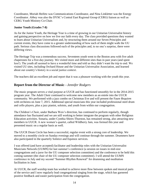Coordinator, Moriah Heifetz was Communications Coordinator, and Nina Linkletter was the Energy Coordinator. Abbey was also the DYSC's Central East Regional Group (CERG) liaison as well as CERG Youth Ministry Co-Chair.

#### **Junior Youth (Grades 7-8)**

As for the Junior Youth, the Heritage Year is a time of growing in our Unitarian Universalist history and gaining perspective on how we live our faith every day. The class provided questions they wanted to learn about Unitarian Universalism and, by structuring them around our Seven Principles and current events, they have come to a greater understanding of how each of them might walk the UU path. Serious class discussions followed each of the principles and, to no one's surprise, there were differing views.

The Heritage Trip was a tremendous success. Seventeen youth went to the Boston area with five adult chaperones for a five-day journey. We visited more and different sites than in past years (and spent less!). The youth all seemed to have a wonderful time and told us they didn't want the trip to end. We visited UU sites, including Orchard House and the Unitarian Universalist Association, and learned about our country's history in a social justice context.

The teachers did an excellent job and report that it was a pleasure working with the youth this year.

#### **Report from the Director of Music***—Jennifer Rodgers*

The music program serves a vital purpose at UUCR and has functioned smoothly for in the 2014-2015 program year. The Adult Choir continued to welcome new members as an entrée into the UUCR community. We performed with a jazz combo on Christmas Eve and will present the Faure *Requiem* with orchestra on June 7, 2015. Additional special musicians this year included professional steel drum and cello players, plus a jazz pianist, soloists, and youth from within our congregation.

The Children's Choir, under Barbara Weis's direction, has continued to perform regularly, though attendance has fluctuated and we are still working to better integrate the program with other Religious Education activities. Sonaria, under Cynthia Shires-Thurston, has remained strong, also attracting new members to UUCR. A new women's quartet, called Wildberry Jam, was formed this year and presented music on a regular basis as well.

The UUCR Drum Circle has been a successful, regular event with a strong core of leadership. We moved to a monthly circle on Sunday evenings and will continue through the summer. Drummers have also participated in the quarterly Solstice and Equinox services.

I was offered (and have accepted) facilitator and leadership roles with the Unitarian Universalist Musicians Network (UUMN) for last summer's conference (a session on issues in mid-size congregations and a juror for the UU composer selection committee) and the conference to be held this coming summer (the chair of the UU composer selection committee). I will attend the UUMN conference in July and my second "Summer Rhythm Renewal" for drumming and meditation facilitation in June.

At UUCR, the staff worship team has worked to achieve more flow between spoken and musical parts of the service and I now regularly lead congregational singing from the stage, which has garnered positive feedback and easier participation from the congregation.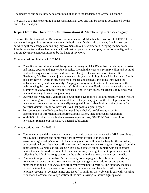The update of our music library has continued, thanks to the leadership of Gaynelle Campbell.

The 2014-2015 music operating budget remained at \$4,000 and will be spent as documented by the end of the fiscal year.

#### **Report from the Director of Communications & Membership** *– Nancy Gregory*

This was the third year of the Director of Communications & Membership position at UUCR. The first two years brought about substantial changes in both areas. During this past year, I've focused on solidifying those changes and making improvements to our new practices. Keeping members and friends connected with each other and with all that happens on our campus, in the community, and in our broader movement continues to be the heart of my work.

Communications highlights in 2014-15:

- Consolidated and strengthened the system for managing UUCR's website, enabling responsive and timely updates and greater functionality. I remain the website's primary editor and point of contact for requests for routine additions and changes. Our volunteer Webteam – Bill Newhouse, Eric Norris (who joined the team this year – a big highlight), Lisa Petrovich Smith, and Tom Rowe – work on structural maintenance and changes, including improving the website's security and functionality. Congregants may submit material for inclusion on the website using the form at www.uucr.org/submit-new-article. Feedback on the website may be submitted at www.uucr.org/website-feedback. And, in both cases, congregants may also send an email message to webteam@uucr.org.
- Over the past year, many visitors and newcomers have reported looking carefully at the website before coming to UUCR for a first visit. One of the primary goals in the development of the new site was to have it serve as an easily-navigated, informative, inviting point of entry for potential visitors. I think we have achieved that goal to a great degree.
- For congregants, the Webteam has increased the website's usefulness as a tool for dissemination of information and routine administration, including event registration.
- With 525 subscribers and a higher-than-average open rate, *UUCR E-Weekly,* our digital newsletter, remains our most active internal publication.

Communications goals for 2015-16:

- Continue to expand the type and amount of dynamic content on the website. MP3 recordings of most Sunday sermons and some music are currently available on the site at www.uucr.org/worship/sermons. In the coming year, we will launch a blog for the ministers, with occasional posts by other staff members, and hope to engage some guest bloggers from the congregation. We will also replace UUCR's now-outdated digital camera with an upgraded device that can be used for both photos and recordings, making it easier to post new content reflecting the life of the congregation on the website, in the e-news, and via social media.
- Continue to improve the website's functionality for congregants. Members and friends may now access a secure online directory containing congregant email addresses and phone numbers by logging in at www.uucr.org/members/member-directory. The directory includes the option to upload a photo and we'll work with members and friends to utilize this feature, helping everyone to "connect names and faces." In addition, the Webteam is currently working to enhance the "members-only" section of the site, allowing for secure sign-ups and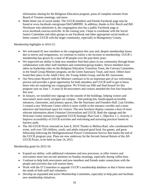information sharing for the Religious Education program, posts of complete minutes from Board of Trustees meetings, and more.

• Make better use of social media. The UUCR members and friends Facebook page may be found at www.facebook.com/groups/56415480999/. In addition, thanks to Eric Burch and Bill Newhouse who administer it, the congregation also has a public Facebook page at www.facebook.com/uu.rockville. In the coming year, I hope to coordinate with the Social Justice Committee and other groups to use Facebook and other appropriate social media to better connect UUCR with the larger community, especially in Montgomery County.

Membership highlights in 2014-15:

- We welcomed 42 new members to the congregation this year and, despite membership losses due to moves and resignations, we continue to realize a net increase in membership. UUCR's membership has grown by a total of 40 people over the past three years.
- We improved our ability to help new members find their place in our community through better collaboration with other staff members and committee/group leaders. Newer members have taken on leadership roles on the Religious Education Transition Team, the Canvass Committee, in the Small Group Ministry program, on the Green Sanctuary Team, and more. Others have found their place in the Adult Choir, the Young Adults Group, and the RE classrooms.
- Our Newcomer Brunch with the Minister continues to be an important part of our welcoming process and provides a great opportunity for both attendees and UUCR staff to get to know those who are exploring our congregation. We'll hold our fifth and final brunch for this program year on June 7. A total of 44 newcomers and visitors attended the first four brunches this year.
- In January, we installed new signage on the outside of the buildings, helping visitors and newcomers more easily navigate our campus - find parking lots, handicapped-accessible entrances, classrooms, and primary spaces, like the Sanctuary and Founders Hall. Last October, I created a new Welcome Center which is more visible in the entrance corridor and a more attractive and functional space for visitors. The new brochure display contains a host of more relevant information about Unitarian Universalism and UUCR. Both the signage and the Welcome Center initiatives supported UUCR Strategic Plan Goal 1, Objective 1.1, Activity 2: Improve accessibility of UUCR activities and welcoming and nurturing practices based on barriers audit.
- The All-UUCR Picnic returned on June 8, 2014! Thanks to Melissa Rael, who coordinated the event, well over 150 children, youth, and adults enjoyed good food, fun games, and great fellowship following the Multigenerational Flower Communion Service that marks the end of the UUCR program year. Plans are now underway for the Second Annual Return of the All-UUCR Picnic, to be held on June 14, 2015.

Membership goals for 2015-16:

- Expand our ability, with additional volunteers and new processes, to offer visitors and newcomers more one-on-one attention on Sunday mornings, especially during coffee hour.
- Continue to help both new comers and new members and friends make connections with the people and activities that will nurture them.
- Work with the IT Committee to upgrade UUCR's membership database so that it better meets the needs of both staff and volunteers.
- Develop an expanded and active Membership Committee, especially to help plan and facilitate new membership initiatives.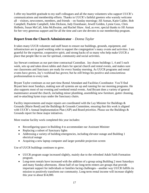I offer my heartfelt gratitude to my staff colleagues and all the many volunteers who support UUCR's communications and membership efforts. Thanks to UUCR's faithful greeters who warmly welcome all – visitors, newcomers, members, and friends – on Sunday mornings: Jill Asman, Katie Calder, Bob Campbell, Paulette Campbell, John Dickson, Judy Eisenhauer, Jewell Golden, Lynne Goss, Chris Holbein, Susan McCall, John McIlwaine, and Rachel Shaw. And, as ever, special thanks to Jill Asman for her very generous support and for all the time and care she devotes to our membership program.

#### **Report from the Church Administrator** *– Donna Taylor*

It takes many UUCR volunteer and staff hours to ensure our buildings, grounds, equipment, and infrastructure are in good working order to support the congregation's many events and activities. I am grateful for the expertise, cooperative spirit, and strong backs of so many who help make UUCR a place that people like to use for spiritual, community and social activities.

Jay Stewart continues as our part-time contractual Custodian. Jay cleans buildings 1, 4 and 5 each week, sets up and takes down tables and chairs for special church and rental events, and makes sure our classrooms and Sanctuary are ready for every Sunday morning. As UUCR programs and rental events have grown, Jay's workload has grown; but he still brings his positive and conscientious professionalism to every task.

Bryant Taylor continues as our part-time Rental Attendant and Facilities Coordinator. You'll find Bryant here most Sundays, making sure all systems are up and running for our morning programs. He also supports most of our evening and weekend rental events. And Bryant does a variety of general maintenance around the church, including minor plumbing, assembling new furniture, gutter cleaning, and re-attaching hymn trays under the Sanctuary chairs.

Facility improvements and major repairs are coordinated with the Lay Minister for Buildings & Grounds (Marie Reed) and the Buildings & Grounds Committee, ensuring that this work is aligned with UUCR's Annual Implementation Plan (AIP) and Board priorities. Please see the Buildings & Grounds report for these major initiatives.

More routine facility work completed this year includes:

- Reconfiguring space in Building 4 to accommodate our Assistant Minister
- Replacing a subset of Sanctuary lights
- Addressing a variety of building emergencies, including elevator outage and Building 1 electrical outage
- Acquiring a new laptop computer and larger portable projection screen

Use of UUCR buildings continues to grow.

- UUCR program usage increased slightly, mainly due to the refreshed Adult Faith Formation program.
- Long-term rentals have increased with the addition of a group using Building 2 most Saturdays and many Sunday afternoons. About half of our long-term renters are groups that provide important support for individuals or families facing challenges—another way UUCR fulfills its mission to positively transform our community. Long-term rental income will increase slightly this year to about \$14,000.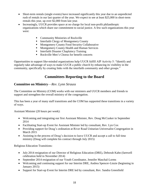- Short-term rentals (single events) have increased significantly this year due to an unpredicted rush of rentals in our last quarter of the year. We expect to see at least \$25,000 in short-term rentals this year, up over \$2,000 from last year.
- Increasingly, UUCR provides space at no charge for local non-profit philanthropic organizations which share our commitment to social justice. A few such organizations this year were:
	- Community Ministries of Rockville
	- Interfaith Clergy of Montgomery County
	- **Montgomery County Food Security Collaborative**
	- **Montgomery County Health and Human Services**
	- Interfaith Disaster Chaplaincy Training
	- Rockville Men's Chorus for benefit concerts

Opportunities to support like-minded organizations help UUCR fulfill AIP Activity 5: "Identify and regularly take advantage of ways to make UUCR a public church by enhancing its visibility in the community, specifically by creating links with the interfaith community and other groups."

#### **Committees Reporting to the Board**

#### **Committee on Ministry**—*Rev. Lynn Strauss*

The Committee on Ministry (COM) works with our ministers and UUCR members and friends to support and strengthen the overall ministry of the congregation.

This has been a year of many staff transitions and the COM has supported these transitions in a variety of ways.

Assistant Minister (20 hours per week):

- Welcoming and integrating our first Assistant Minister, Rev. Doug McCusker in September 2014
- Facilitating Start-up Event for Assistant Minister led by consultant, Rev. Lyn Cox
- Providing support for Doug's ordination at River Road Unitarian Universalist Congregation in March 2015
- Assisting in the process of Doug's decision to leave UUCR and accept a call to full time ministry (Doug will complete his contract through July 2015)

Religious Education Transitions:

- July 2014 resignation of our Director of Religious Education (DRE), Deborah Kahn (farewell celebration held in November 2014)
- September 2014 resignation of our Youth Coordinator, Jennifer Maschal-Lorms
- Welcoming and continuing support for our Interim DRE, Andrea Spencer-Linzie (beginning in January 2015)
- Support for Start-up Event for Interim DRE led by consultant, Rev. Sandra Greenfield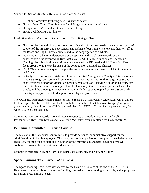Support for Senior Minister's Role in Filling Staff Positions:

- Selection Committee for hiring new Assistant Minister
- Hiring of new Youth Coordinator as Sarah Prager is moving out of state
- Hiring new RE Assistant as Ginny Scher is retiring
- Hiring a Child Care Coordinator

In addition, the COM supported the goals of UUCR's Strategic Plan:

- Goal 1 of the Strategic Plan, the growth and diversity of our membership, is enhanced by COM support of the ministry and covenantal relationships of our ministers to one another, to staff, to the Board and Lay Ministry Council, and to the congregation as a whole.
- Objective 1:2, a better understanding of the spiritual and social justice needs of the congregation, was advanced by Rev. McCusker's Adult Faith Formation and Leadership Training plans. In addition, COM members attended the RE panel and RE Transition Team focus groups to attune to the pulse of the congregation during these changes.
- The COM continues to explore the possible use of an assessment survey of UUCR members and friends.
- Activity 2, assess how we might fulfill needs of central Montgomery County This assessment happens through our continued social outreach programs and the continuing generosity and congregational support of Manna, Community Ministries of Rockville, Unitarian Universalists for Social Justice, Garrett County Habitat for Humanity, Green Team projects, such as solar panels, and the growing involvement in the Interfaith Action Group led by Rev. Strauss. This ministry is supported as COM supports our religious professionals.

The COM also supported ongoing plans for Rev. Strauss's 10<sup>th</sup> anniversary celebration, which will be held on September 12-13, 2015, and for her sabbatical, which will be taken over two program years (dates pending). In addition, the COM supported plans for UUCR's  $60<sup>th</sup>$  anniversary celebration, for which a date is also pending.

Committee members: Ricardo Carvajal, Steve Eckstrand, Cita Furlani, See Lam, and Rolf Preisendorfer. Rev. Lynn Strauss and Rev. Doug McCusker regularly attend the COM meetings.

#### **Personnel Committee**—*Suzanne Carrillo*

The mission of the Personnel Committee is to provide personnel administrative support for the administration of church employees. This year, we provided professional support, as needed or when requested, for the hiring of staff and in support of the minister's managerial functions. We will continue to provide this support on an ad hoc basis.

Committee members: Suzanne Carrillo (Chair), Jose Clemente, and Marianne Miller

#### **Space Planning Task Force**—*Marie Reed*

The Space Planning Task Force was created by the Board of Trustees at the end of the 2013-2014 fiscal year to develop plans to renovate Building 1 to make it more inviting, accessible, and appropriate for current programming needs.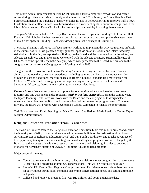This year's Annual Implementation Plan (AIP) includes a task to "Improve crowd flow and coffee access during coffee hour using currently available resources." To this end, the Space Planning Task Force recommended the purchase of narrower tables for use in Fellowship Hall to improve traffic flow. In addition, small coffee stations have been tried out in a variety of spots to minimize congestion in the lobby. Many thanks to Donna Taylor for her leadership and creativity in making these changes.

This year's AIP also includes: **"**Activity 16a: Improve the use of space in Building 1, Fellowship Hall, Founders Hall, lobbies, kitchen, restrooms, and closets by 1) conducting a comprehensive assessment of main floor space in Building 1; and 2) reviewing architect's concept of Building 1."

The Space Planning Task Force has been actively working to implement this AIP requirement. In brief, in the summer of 2014, we gathered congregational input via an online survey and interviewed key stakeholders. In the fall, we reported our findings to the Board and the congregation. In the winter, we selected an architect, and in the spring, we worked with the selected architect, Susan Mullineaux of DCMM, to come up with schematic design(s) which were presented to the Board in April and to the congregation at the Annual Congregational Meeting in May 2015.

The goals of the renovation are to make Building 1 a more inviting and accessible space. We are aiming to improve the coffee hour experience, including quieting the Sanctuary entrance corridor, provide at least one additional meeting space a la Room 44, make Founders Hall more usable for Children's Worship and the congregation at large, and significantly improve the kitchen and bathrooms. Of course, there are many other goals and considerations.

**Current Status:** We currently have two options for our consideration - one based on the current footprint and one with an expanded footprint. *Neither is a final schematic*. During the coming year, the Space Planning Task Force will work with the Board and the congregation to design/select a schematic floor plan that the Board and congregation feel best meets our program needs. To move forward, the Board will proceed with developing a Capital Campaign to finance the renovations.

Task Force members: David Bennington, Mark Corfman, Sue Hedges, Marie Reed, and Donna Taylor (Church Administrator)

#### **Religious Education Transition Team**—*Fran Lowe*

The Board of Trustees formed the Religious Education Transition Team this year to protect and ensure the integrity and vitality of our religious education program in light of the resignation of our longserving Director of Religious Education (DRE) and our Youth Coordinator, and to take advantage of this opportunity to explore new and exciting visions of staffing and program. We were charged by the Board to lead a process of evaluation, research, collaboration, and visioning, in order to develop a proposal for permanent staffing of UUCR's Religious Education (RE) program.

Major accomplishments:

- Conducted research via the Internet and, so far, one visit to another congregation to learn about RE staffing and programs at other UU congregations. This will be continued next year.
- Met with UU Central East Regional Group consultant, Pat Infante to learn about best practices for carrying out our mission, including discerning congregational needs, and setting a timeline and goals.
- Collected and reviewed previous five-year RE children and youth attendance data.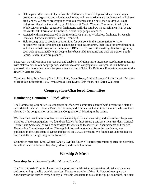- $\bullet$  Held a panel discussion to learn how the Children & Youth Religious Education and other programs are organized and relate to each other, and how curricula are implemented and classes are planned. We heard presentations from our teachers and helpers, the Children & Youth Religious Education Committee, the Children's & Youth Worship Committee, OWL (Our Whole Lives sexuality education) facilitators, staff, the Rainbow Youth Alliance (RYA), and the Adult Faith Formation Committee. About forty people attended.
- Assisted with and participated in the Interim DRE Start-up Workshop, facilitated by Joseph Priestley District consultant, Sandra Greenfield.
- Held focus groups to provide opportunities for everyone in the congregation to share perspectives on the strengths and challenges of our RE program, their ideas for strengthening it, and to share their dreams for the future of RE at UUCR. As of this writing, five focus groups, each with approximately eight people, have been held, including one with the Senior Youth Group. Several more are planned.

Next year, we will continue our research and analysis, including more Internet research, more meetings with stakeholders in our congregation, and visits to other congregations. Our goal is to submit our proposal with recommendations for permanent staffing of UUCR's Religious Education program to the Board in October 2015.

Team members: Fran Lowe (Chair), Erika Pied, Gwen Rowe, Andrea Spencer-Linzie (Interim Director of Religious Education), Rev. Lynn Strauss, Len Taylor, Beth Vann, and Karen Whitesell

#### **Congregation-Chartered Committee**

#### **Nominating Committee**—*Ethel Gilbert*

The Nominating Committee is a congregation-chartered committee charged with presenting a slate of candidates for church officers, Board of Trustees, and Nominating Committee members, who are then elected by the congregation at the Annual Congregational Meeting in the spring.

We identified candidates who demonstrate leadership skills and creativity, and who reflect the general make-up of the congregation. We found candidates for three Board positions (Vice President, General Trustee, and Secretary) as well as candidates for Assistant Treasurer for Disbursements and for two Nominating Committee positions. Biographic information, obtained from the candidates, was published in the April issue of *Quest* and posted on UUCR's website. We found excellent candidates and thank them for agreeing to run for office.

Committee members: Ethel Gilbert (Chair), Cynthia Bauerle (Board representative), Ricardo Carvajal, Jack Eisenhauer, Clarice Julka, Andy Moore, and Karla Timmons.

#### **Worship & Music**

#### **Worship Arts Team**—*Cynthia Shires-Thurston*

The Worship Arts Team is charged with supporting the Minister and Assistant Minister in planning and creating high quality worship services. The team provides a Worship Steward to prepare the Sanctuary for the service every Sunday, a Worship Associate to assist in the pulpit as needed, and also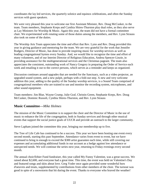coordinates the lay led services, the quarterly solstice and equinox celebrations, and often the Sunday services with guest speakers.

We were very pleased this year to welcome our first Assistant Minister, Rev. Doug McCusker, to the team. Team members, Stephanie Kreps and Cynthia Shires-Thurston play dual roles, as they also serve as Lay Ministers for Worship & Music. Again this year, the team did not have a formal committee chair. We experimented with rotating some of those duties among the members, and Rev. Lynn Strauss also took on some of the duties.

The Worship Arts Team appreciates the time and effort that Rev. Lynn and Rev. Doug provided this year in giving guidance and mentoring for the team. We are very grateful for the work that Jennifer Rodgers, Director of Music, has done to provide inspiring music for worship services as well as leading congregational hymns every Sunday. And, we would like to recognize the time and effort of many volunteers, and of our Interim Director of Religious Education, Andrea Spencer-Linzie, in providing assistance for the multigenerational services and the Christmas pageant. The team also appreciates the consistent, outstanding work of Nancy Gregory in preparing the Order of Service each week and emailing it out to the correct persons, which serves as a reminder and keeps us organized.

Discussion continues around upgrades that are needed for the Sanctuary, such as a video projector, an upgraded sound system, and a new pulpit, perhaps with a fold-out step. A new and very welcome addition this year, adding to the quality of the Sunday worship services, is a Sound Team comprised of congregational members who are trained to use and monitor the recording system, microphones, and other sound equipment.

Team members: Jim Blue, Wayne Crump, Julie Graf, Christin Green, Stephanie Kreps, Rev. Doug McCusker, Dominic Russoli, Cynthia Shires-Thurston, and Rev. Lynn Strauss

#### **Music Committee—***Mike Holmes*

The mission of the Music Committee is to support the choir and the Director of Music in the use of music to enhance the life of the congregation, both in Sunday services and through other musical events that support the social justice goals of UUCR and provide an outreach to the larger community.

Steve Lapham joined the committee this year, bringing our membership up to five.

The Tree of Life Cafe has continued to be a success. This year we have been hosting one event every second month, starting this past September. Attendance varies from event to event, but we have continued to bring in enough to exceed the \$300 artist guarantee each time, while still covering our expenses and accumulating additional funds in our account as a hedge against low attendance or unexpected needs. We will continue the series next year, returning to Friday evenings every second month.

The annual choir/Ethier Fund fundraiser, this year called My Funny Valentine, was a great success. We raised about \$2,600, and everyone had a great time. This time, the event was held on Valentine's Day and featured songs and skits about love. Greg Yoder once again provided some wonderful hors d'oeuvres and treats, supplemented by contributions from other members of the choir. The turnout was good in spite of a snowstorm that hit during the event. Thanks to everyone who braved the weather!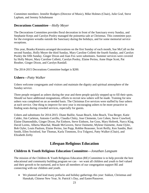Committee members: Jennifer Rodgers (Director of Music), Mike Holmes (Chair), Julie Graf, Steve Lapham, and Jeremy Schuhmann

#### **Decorations Committee**—*Holly Meyer*

The Decorations Committee provides floral decoration in front of the Sanctuary every Sunday, and Stephanie Kreps and Carolyn Pooley managed the poinsettia sale at Christmas. This committee pays for the evergreen wreaths outside the Sanctuary during the holidays, and for some memorial service receptions.

This year, Branka Kienstra arranged decorations on the first Sunday of each month, Sue McCall on the second Sunday, Holly Meyer the third Sunday, Mary Caroline Colletti the fourth Sunday, and Carolyn Pooley the fifth Sunday. Ginger Dixon and Joan Fox were substitutes. Summer services were covered by Holly Meyer, Mary Caroline Colletti, Carolyn Pooley, Elaine Perino, Anne Hope Scott, Pat Reuther, Ginger Dixon, and Carolyn Randall.

The 2014-2015 Decorations Committee budget is \$200.

#### **Ushers—***Patty Walker*

Ushers welcome congregants and visitors and maintain the dignity and spiritual atmosphere of the Sunday service.

Three people resigned as ushers during the year and three people quickly stepped up to fill their spots. Should we have additional resignations, efforts to recruit new ushers will be made. Training for new ushers was completed on an as-needed basis. The Christmas Eve services were staffed by four ushers at each service. One thing to improve for next year is encouraging ushers to be more proactive in finding seats during crowded services, especially for guests.

Ushers and substitutes for 2014-2015: Diane Baillie, Susan Beach, John Beach, Tina Berger, Katie Calder, Jim Carleton, Antonio Carrillo, Claudia Chitty, Jose Clemente, Len Cohen, Steve Crawford, Elaine Diamondidis, Ginger Dixon, Pat Einhorn, Steve Einhorn, Joe Goss, Mary Hoferek, Narcy Klag, David Lorms, Alberta Maschal, Maude McGovern, Steve Ouimette, Mylene Ouimette, Anne Oyler, Bob Oyler, Louis Paulson, Elaine Perino, Jan Popp, Robbie Reasoner, Scott Reilly, Ken Sandin, Burt Smith, Ellen Swinford, Sue Thomas, Karla Timmons, Eva Tolgyesi, Patty Walker (Chair), and Elizabeth Zerby

#### **Lifespan Religious Education**

#### **Children & Youth Religious Education Committee—***Jonathan Langsam*

The mission of the Children & Youth Religious Education (RE) Committee is to help provide the best educational and community building program we can – we want all children and youth to feel valued and their growth to be nurtured, and to have all members of our congregation support RE and connecting with our children and youth.

 We planned and lead many potlucks and holiday gatherings this year: Sukkot, Christmas and Hanukah, Chinese New Year, St. Patrick's Day, and Easter/Passover.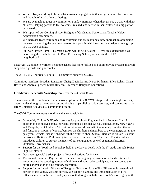- We are always working to be an all-inclusive congregation in that all generations feel welcome and thought of at all of our gatherings.
- We are available to greet new families on Sunday mornings when they try out UUCR with their children. Helping parents to feel welcome, relaxed, and safe with their children is a big part of what we do.
- We supported our Coming of Age, Bridging of Graduating Seniors, and Teacher/Helper Appreciation ceremonies.
- We increased teacher training and recruitment, and are planning a new approach to organizing the year by breaking the year into three or four pods in which teachers and helpers can sign up in 9-10 week chunks.
- Full week Peace Camp! This year's camp will be held August 3-7. We are excited that it will be offering three scholarships to Beall Elementary School, which is in the UUCR neighborhood.

Next year, we'd like to work on helping teachers feel more fulfilled and on improving systems that will support our growth and philosophy.

The 2014-2015 Children & Youth RE Committee budget is \$5,282.

Committee members: Jonathan Langsam (Chair), David Lorms, Karen Pittleman, Ellen Rohan, Gwen Rowe, and Andrea Spencer-Linzie (Interim Director of Religious Education)

#### **Children's & Youth Worship Committee**—*Gwen Rowe*

The mission of the Children's & Youth Worship Committee (CYW) is to provide meaningful worship opportunities through planned services and rituals that parallel our adult services, and connect us to the larger Unitarian Universalist community of faith.

The CYW Committee meets monthly and is responsible for:

- Bi-monthly Children's Worship services for preschool-5<sup>th</sup> grade, held in Founders Hall. In addition to our beloved annual services, including Tashlich, Social Justice/Manna, New Year's, and Maypole, our Children's Worship services coordinate with the monthly liturgical theme and function as a point of contact between the children and members of the congregation. In the past year, Bennett Rushkoff shared with the children about Sukkot, Barbara Weis told us about her work in Haiti, and Phil Lowe joined us as we continued our "Meet a UU" series, which introduces children to current members of our congregation as well as famous historical Unitarian Universalists.
- Support for the Youth-Led Worship, held in the Lower Level, with the  $6<sup>th</sup>$  grade through Senior High RE classes.
- Our ongoing social justice project of food collections for Manna.
- The annual Christmas Pageant. We continued our ongoing expansion of set and costumes to accommodate the growing number of children and youth who participate, and welcomed the entire congregation to a celebratory reception!
- Support for our Interim Director of Religious Education for the First Fifteen multigenerational portion of the Sunday worship service. We support planning and implementation of First Fifteen services on the two Sundays per month during which the preschool-Senior High join the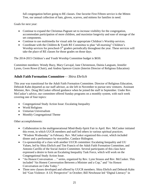full congregation before going to RE classes. One favorite First Fifteen service is the Mitten Tree, our annual collection of hats, gloves, scarves, and mittens for families in need.

Goals for next year:

- Continue to expand the Christmas Pageant set to increase visibility for the congregation, accommodate participation of more children, and maximize longevity and ease of storage of the set components.
- Continue to use multimedia for visual aids for appropriate Children's Worship services.
- Coordinate with the Children & Youth RE Committee to plan "all-morning" Children's Worship services for preschool-5<sup>th</sup> graders periodically throughout the year. These services will take the place of RE classes for those grades on those days.

The 2014-2015 Children's and Youth Worship Committee budget is \$650.

Committee members: Wendy Buzy, Mary Carvajal, Jane Christenson, Dainia Langsam, Jennifer Lyons, Gwen Rowe (Chair), and Andrea Spencer-Linzie (Interim Director of Religious Education)

#### **Adult Faith Formation Committee**— *Shira Ehrlich*

This year was transitional for the Adult Faith Formation Committee. Director of Religious Education, Deborah Kahn departed as our staff advisor, as she left in November to pursue new ventures. Assistant Minister, Rev. Doug McCusker offered guidance when he joined the staff in September. Under Rev. McCusker's advice, our committee offered Sunday programs on a monthly system, with each week covering one of four topics:

- Congregational Study Action Issue: Escalating Inequality
- World Religions
- Unitarian Universalism
- Monthly Congregational Theme

Other accomplishments:

- Collaboration in the multigenerational Mind-Body-Spirit Fair in April. Rev. McCusker initiated this event, in which UUCR members and staff led others in various spiritual practices.
- "Wisdom Wednesday" in February. Rev. McCusker organized this event, which included dinner and a performance by storyteller, Candace Ridington.
- Co-sponsorship of a class with another UUCR committee: Escalating Inequality and UU Values, led by Shira Ehrlich and Tim Francis of the Adult Faith Formation Committee, and Antonio Carrillo of the Social Justice Committee. Several participants of this class have expressed a desire to form an Escalating Inequality Task Force, which will work on the Congregational Study Action Issue.
- "An Honest Conversation ..." series, organized by Rev. Lynn Strauss and Rev. McCusker. This included "An Honest Conversation Between a Minister and a Cop," and "An Honest Conversation on Cuba Today."
- Three new classes developed and offered by UUCR members. Shira Ehrlich and Deborah Kahn led "Gun Violence: A UU Perspective" in October; Bill Newhouse led "Digital Literacy" in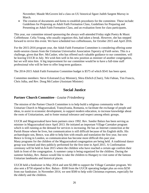November; Maude McGovern led a class on UU historical figure Judith Sargent Murray in March.

 The creation of documents and forms to establish procedures for the committee. These include: Guidelines for Proposing an Adult Faith Formation Class, Guidelines for Preparing and Presenting an Adult Faith Formation Class, and an evaluation form for class participants.

This year, our committee missed sponsoring the always well-attended Friday night Poetry & Music Coffeehouse. Celia Young, who usually organizes this, had taken a break. However, she has stepped forward to revive this event. We have scheduled two coffeehouses, for October 2015 and April 2016.

For the 2015-2016 program year, the Adult Faith Formation Committee is considering offering some multi-session classes from the Unitarian Universalist Association *Tapestry of Faith* series. This is a challenge, given that Rev. McCusker, who has offered such valuable guidance to our committee, will be leaving UUCR in July. We wish him well in his new position as minister of another congregation, but we will miss him. A big improvement for our committee would be to have a full-time staff professional who will be here to offer long-term guidance.

The 2014-2015 Adult Faith Formation Committee budget is \$575 of which \$541 has been spent.

Committee members: Steve Eckstrand (Lay Minister), Shira Ehrlich (Chair), Teki Fabian, Tim Francis, Chris Julka, and Rev. Doug McCusker (Assistant Minister)

#### **Social Justice**

#### **Partner Church Committee***—Louise Friedenberg*

The mission of the Partner Church Committee is to help build a religious community with the Unitarian Church in Magyarzsakod, Transylvania, Romania, to facilitate the exchange of people and ideas, to assist in economic development, to support modern education, to increase knowledge about the roots of Unitarianism, and to foster mutual tolerance and respect among ethnic groups.

UUCR and Magyarzsakod have been partners since 1992. Rev. Sandor Balazs has been serving as minister in Magyarzsakod since April 2013. He initiated an important Village Caretaker program which is still running as the demand for services is increasing. He has an Internet connection at the Parish House where he lives, but communication is still difficult because of his English skills. His archaeologist son, Bence, was able to help him with emails and translation the first year, but now Bence is living in London, so communication has become more difficult this past year. Many programs for the children of the Magyarzsakod congregation are being held. A traditional dance group was formed and they publicly performed for the first time in April 2015. A Confirmation ceremony will be held in June 2015 where the children who have reached a certain age confirm their faith in front of the congregation. A summer camp is being organized for the children. During the summer holiday, Rev. Balazs would like to take the children to Hungary to visit some of the famous Unitarian landmarks and historical places.

UUCR held a fundraiser in May 2014 and sent \$2,000 to support the Village Caretaker program. We also sent a \$750 stipend to Rev. Balazs - \$500 from the UUCR operating budget plus an extra \$250 from our fundraiser. In November 2014, we sent \$500 to help with Christmas expenses, especially for the elderly and the children.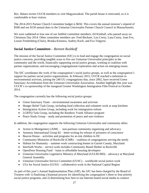Rev. Balazs invites UUCR members to visit Magyarzsakod. The parish house is renovated, so it is comfortable to host visitors.

The 2014-2015 Partner Church Committee budget is \$650. This covers the annual minister's stipend of \$500 and our \$150 annual dues to the Unitarian Universalist Partner Church Council in Massachusetts.

We were saddened to lose one of our faithful committee members, Ed Kimball, who passed away on Christmas Day 2014. Other committee members are: Fred Beckner, Lou Cerny, Lana Cerny, Joan Fox, Louise Friedenberg (Chair), Branka Kienstra, Audrey Koch, and Eva Tolgyesi.

#### **Social Justice Committee**—*Bennett Rushkoff*

The mission of the Social Justice Committee (SJC) is to lead and engage the congregation on social justice concerns, providing tangible ways to live our Unitarian Universalist principles in the community and the world, financially supporting social justice groups, working in coalition with partner organizations, and encouraging congregational exploration and action on emerging issues.

The SJC coordinates the work of the congregation's social justice groups, as well as the congregation's support for partner social justice organizations. In February 2015, UUCR reached a milestone in environmental activism, joining the 240 UU congregations that, since 2002, have received Green Sanctuary Accreditation from the Unitarian Universalist Association. Another highlight this year was UUCR's co-sponsorship of the inaugural Greater Washington Immigration Film Festival in October 2014.

The congregation currently has the following social justice groups:

- Green Sanctuary Team environmental awareness and activism
- Hunger Relief Task Group, including food collection and volunteer work at soup kitchens
- Immigration Action Group, including work for immigration reform
- LGBTQ Task Group, including the Rainbow Youth Alliance program
- Peace Study Group study and promotion of peace and non-violence

In addition, the congregation supports the following Unitarian Universalist and community allies:

- Action in Montgomery (AIM) non-partisan community organizing and advocacy
- Amnesty International Group 82 letter-writing for release of prisoners of conscience
- Beacon House activities and programs for at-risk children in DC
- Community Ministries of Rockville (CMR) coalition of congregations serving the needy
- Habitat for Humanity summer work constructing homes in Garrett County, Maryland
- Interfaith Works service work includes Community Based Shelter in Rockville
- OpenDoor Housing Fund loans to affordable housing developers
- Unitarian Universalist Legislative Ministry of Maryland (UULM-MD) advocacy at Maryland General Assembly
- Unitarian Universalist Service Committee (UUSC) worldwide social justice work
- UUs for Social Justice (UUSJ) collaborative work in the National Capital Region

As part of this year's Annual Implementation Plan (AIP), the SJC has been charged by the Board of Trustees with 1) finalizing a biannual process for identifying the congregation's three or four priority social justice programs, and 2) determining how best to use Internet-based social media to connect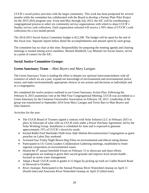UUCR's social justice activities with the larger community. This work has been postponed for several months while the committee has collaborated with the Board to develop a Partner Plate Pilot Project for the 2015-2016 program year. From mid-May through July 2015, the SJC will be coordinating a congregational process to select six community service organizations with which to share UUCR's Sunday service cash collections. Each organization selected will receive a 50% share of UUCR's cash collections for a two-month period.

The 2014-2015 Social Justice Committee budget is \$12,500. The budget will be spent by the end of this fiscal year. Separate reports below detail the accomplishments and amount spent by each group.

The committee has no chair at this time. Responsibility for preparing the meeting agenda and chairing meetings is rotated among active members. Bennett Rushkoff, Lay Minister for Social Justice, serves as a point of contact for the SJC.

#### **Social Justice Committee Groups:**

#### **Green Sanctuary Team** —*Matt Beyers and Mary Lanigan*

The Green Sanctuary Team is leading the effort to deepen our spiritual interconnectedness with all existence of which we are a part, expand our knowledge of environmental and environmental justice issues, and make environmentally appropriate choices in our actions and decisions as individuals and as a congregation.

We completed the twelve projects outlined in our Green Sanctuary Action Plan. Following the February 8, 2015 unanimous vote at the Mid-Year Congregational Meeting, UUCR was accredited as a Green Sanctuary by the Unitarian Universalist Association on February 18, 2015. Leadership of the group was transitioned in September 2014 from Mary Lanigan and Terrie Barr to Matt Beyers and Julia Santerre.

Activities for the year:

- The UUCR Board of Trustees signed a contract with Solar Solution LLC in February 2015 to place 42 kilowatts of solar cells on UUCR roofs under a Power Purchase Agreement, led by the Solar Working Group. Installation is scheduled for June and is expected to generate approximately 35% of UUCR's electricity needs.
- Invited Rabbi Fred Sherlinder Dobb from Adat Shalom Reconstructionst Congregation as guest preacher on Labor Day weekend.
- Screened four Friday Night Brown Bag Films on environmental and ethical eating themes.
- Participated in UU Green Leaders Collaboration Gathering meetings, established to foster regional cooperation on environmental issues.
- $\bullet$  Hosted the  $4<sup>th</sup>$  annual Interfaith Forum on February 15 to showcase and share efforts congregations are making to green their sacred grounds and improve local stream health – focused on storm water management.
- Adopt a Road: UUCR youth in grades 6-12 began by picking up trash on Crabbs Branch Road in Derwood in October.
- River cleanups: Participated in the Annual Potomac River Watershed cleanup on April 11 (fourth time) and Anacostia River Watershed cleanup on April 25 (third time).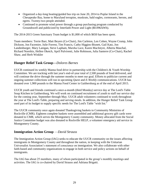- Organized a day-long boating/guided bus trip on June 20, 2014 to Poplar Island in the Chesapeake Bay, home to Maryland terrapins, muskrats, bald eagles, cormorants, herons, and egrets. Twenty-two people attended.
- Continued to promote wind power through a group purchasing program conducted by Groundswell and publicized by Interfaith Power and Light (\$0.096/kWh).

The 2014-2015 Green Sanctuary Team budget is \$1,000 of which \$650 has been spent.

Team members: Terrie Barr, Matt Beyers (Co-Chair), Jim Carleton, Len Cohen, Wayne Crump, John Dickson, Jon Facemire, Julie Forrest, Tim Francis, Cathy Higgins-Bisnett, Gail Katz, Jon Landenburger, Mary Lanigan, Steve Lapham, Marsha Luce, Karen MacIntyre, Alberta Maschal, Richard Noreikis, Hellen Oketch, April Pulvirenti, Julie Robinson, Julia Santerre (Co-Chair), Rachel Shaw, and Herb Winkler

#### **Hunger Relief Task Group—***Dolores Barnes*

UUCR continued its weekly Manna food drive in partnership with the Children's & Youth Worship Committee. We are tracking with last year's end-of-year total of 2,500 pounds of food delivered, and will continue the drive through the summer months to meet our goal. Efforts to publicize current and ongoing summer collections will run in upcoming *Quest* and *E-Weekly* communications. UUCR has donated over 1,900 pounds to the Manna Food Center in Gaithersburg as of the end of April 2015.

UUCR youth and friends continued a once-a-month (third Monday) service day at The Lord's Table Soup Kitchen in Gaithersburg. We will work on continued recruitment of youth to staff our service day for the coming year, September through May. UUCR adult volunteers continued to work throughout the year at The Lord's Table, preparing and serving meals. In addition, the Hunger Relief Task Group used part of its budget to supply specific needs for The Lord's Table "wish list."

The UUCR community once again donated Thanksgiving baskets to Community Ministries of Rockville (CMR). Eighteen complete baskets were assembled and additional grocery gift cards were donated to CMR, which serves the Montgomery County community. Money allocated from the Social Justice Committee budget was also donated to Rockville HELP, a volunteer emergency aid service in Montgomery County.

#### **Immigration Action Group** —*David Strauss*

The Immigration Action Group (IAG) seeks to educate the UUCR community on the issues affecting immigrants in Montgomery County and throughout the nation, in keeping with the Unitarian Universalist Association's statement of conscience on immigration. We also collaborate with other faith-based and community organizations to engage in both service and policy actions on behalf of immigrants.

The IAG has about 25 members, many of whom participated in the group's monthly meetings and activities. The IAG is co-chaired by David Strauss and Adriana Brigatti.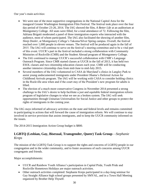Our year's main activities:

- We were one of the most supportive congregations in the National Capitol Area for the inaugural Greater Washington Immigration Film Festival. The festival took place over the four day period of October 23-26, 2014. The IAG showed the film, *A Better Life* at an auditorium at Montgomery College. All seats were filled, for a total attendance of 72. Following the film, Adriana Brigatti moderated a panel of three immigration experts who interacted with the audience, most of whom participated. The IAG also facilitated the showing of another film, *Sleep Dealer*, at Montgomery College's Takoma/Silver Spring campus. Overall, the festival reached over 1,000 people in eleven venues. The festival will be produced again in the fall of 2015. The IAG will continue to serve on the festival's steering committee and to be a vital part of this event. UUCR's part in the festival included a strong collaboration with Community Ministries of Rockville (CMR) and the Student Abroad program of Montgomery College.
- The IAG continued to manage UUCR's successful collaboration with CMR's Language Outreach Program. Since CMR started classes at UUCR in the fall of 2013, it has held two ESOL classes and two citizenship education classes each year. CMR will be conducting another intensive citizenship class from mid-June to mid-July 2015.
- Several members of the IAG volunteered in CASA de Maryland's clinics in Langley Park to assist young undocumented immigrants under President Obama's Deferred Action for Childhood Arrivals program. The IAG will be working with CASA to consider holding clinics in the Rockville area when and if the court stay of the President's new program for adults is lifted.
- The election of a much more conservative Congress in November 2014 presented a strong challenge to the IAG's desire to help facilitate a just and equitable federal immigration reform program of legislative changes to what we see as a broken system. The IAG will seek opportunities through Unitarian Universalists for Social Justice and other groups to protect the rights of immigrants in the coming year.

The IAG stays informed of advocacy activities on the state and federal levels and remains committed to participating in actions that will forward the cause of immigration reform. We will continue to stay involved in service provision that assists immigrants, and to keep the UUCR community informed on the issues.

The 2014-2015 Immigration Action Group budget is \$800.

#### **LGBTQ (Lesbian, Gay, Bisexual, Transgender, Queer) Task Group**—*Stephanie Kreps*

The mission of the LGBTQ Task Group is to support the rights and concerns of LGBTQ people in our congregation and in the wider community, and to foster awareness of such concerns among UUCR congregants and friends.

Major accomplishments:

- UUCR and Rainbow Youth Alliance's participation in Capital Pride, Youth Pride and Rockville Hometown Holidays are major outreach activities.
- Other outreach activities completed: Stephanie Kreps participated in a day-long seminar for Gay Straight Alliance high school groups presented by SMYAL, and in a Town Hall Meeting organized by Brother Help Thyself.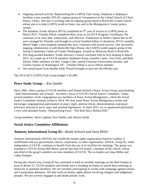- Ongoing outreach activity: Representing the LGBTQ Task Group, Stephanie is helping to facilitate a new monthly PFLAG support group in Germantown at the United Church of Christ Seneca Valley. She also is working with an ongoing group based at Rockville United Church whose aim is to help LGBTQ youth in foster care and in the Montgomery County justice system.
- The Rainbow Youth Alliance (RYA) completed its  $9<sup>th</sup>$  year of service to LGBTQ teens in March 2015. Timothy Elliott completed three years as our RYA Program Coordinator. He continues to be most able, enthusiastic, and effective. Fundraisers at Nellie's Sports Bar in DC were arranged by Timothy and brought in several hundred dollars in donations. RYA's monthly Movie Night, a new program initiated this year, continues with mixed success. One successful ongoing collaboration is with Rockville Open House, the LGBTQ youth support group of the Jewish Community Center of Greater Washington, located on Montrose Road in Rockville.
- The long-awaited Rainbow Youth Advisory Council convened with its first meeting in March 2015. It is made up of UUCR members Stephanie Kreps, Jennifer Carter, Terri Fritz, and Beth Irikura. Other members are Rev. Ginger Luke, retired Unitarian Universalist minister, and Charles Farmer of Washington, DC. Timothy Elliott is an ex-officio member.
- Our annual grant from Brother Help Thyself brought us just over \$4,100 this year

The 2014-2015 LGBTQ Task Group budget is \$1,000.

#### **Peace Study Group**— *Ken Sandin*

Since 2002, when a group of UUCR members and friends formed a Peace Action Group, peacemaking - both internationally and at home - has been a focus of UUCR's Social Justice Committee. Today, several members of the congregation are members of Peace Action Montgomery, which the Social Justice Committee formally joined in 2014. We host some Peace Action Montgomery events and encourage congregational participation in peace vigils, petition drives, demonstrations, and peace advocacy directed to local, state, and national legislatures. In April 2015, we co-sponsored and hosted a very well-attended forum, "Demystifying Syria – The Real Story Behind ISIS."

Group members: Steve Lapham, Ken Sandin, and Alonzo Smith

#### **Social Justice Committee Affiliations:**

#### **Amnesty International Group 82—***Roald Schrack and Zana Miller*

Amnesty International (AIUSA), the worldwide human rights organization based in London, is unaffiliated with any government, church, corporation, or other organization. AIUSA, Group 82, while independent of UUCR, continues to benefit from the use of its facilities for meetings. The group was founded in 1975 by Parson Bill Moors and the late Dan O'Connell, a member of the church. About one-third of the group's members are also members of UUCR. The co-leaders are Zana Miller and Cathy Knepper.

During this church year, Group 82 has continued to hold its monthly meetings on the third Sunday at noon in Room 53. UUCR members and friends have a standing invitation to attend these meetings as observers or potential members. We are currently participating in world-wide campaign against torture, and Guantanamo detainees. We also work on human rights abuses involving refugees and indigenous peoples. We are actively engaged in anti-death penalty work.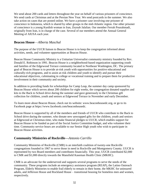We send about 200 cards and letters throughout the year on behalf of various prisoners of conscience. We send cards at Christmas and at the Persian New Year. We send postcards in the summer. We also take action on cases that are posted online. We have a prisoner case involving one prisoner of conscience in Indonesia, which is shared by other groups in the mid-Atlantic region. Our other prisoner of conscience is a young Kurdish woman in Iran, Zeynab Jalalian. Our member Ferrah Pourahmadi, originally from Iran, is in charge of the case. Several of our members attend the Annual General Meeting of AIUSA each year.

#### **Beacon House**—*Alberta Maschal*

The purpose of the UUCR liaison to Beacon House is to keep the congregation informed about activities, needs, and volunteer opportunities at Beacon House.

Beacon House Community Ministry is a Unitarian Universalist community ministry founded by Rev. Donald E. Robinson in 1991. Beacon House is a neighborhood-based organization supporting youth and families of the Edgewood Terrace community located in Northeast Washington, DC. The primary goal of Beacon House is to provide at-risk youth with opportunities for positive educational and culturally-rich programs, and to assist at-risk children and youth to identify and pursue their educational objectives, culminating in college or vocational training and to prepare them for productive involvement in their community and society.

In addition to providing funds for scholarships for Camp Leap, the summer day camp sponsored by Beacon House which serves about 200 children for eight weeks, the congregation donated supplies and kits to the Back to School drive during the summer and gave generously to the Christmas gift collection for children, youth and seniors at Edgewood Terrace in November and early December.

To learn more about Beacon House, check out its website: www.beaconhousedc.org, or go to its Facebook page at https://www.facebook.com/beaconhousedc.

Beacon House is supported by all of the members and friends of UUCR who contribute to the Back to School drive during the summer, who donate new unwrapped gifts for the children, youth and seniors at Edgewood at Christmas-time, who make financial pledges to UUCR, which enables support for Beacon House to be funded as part of the Social Justice Committee budget, and who volunteer their time. Community service hours are available to our Senior High youth who wish to participate in Beacon House activities.

#### **Community Ministries of Rockville—***Antonio Carrillo*

Community Ministries of Rockville (CMR) is an interfaith coalition of twenty-one Rockville congregations founded in 1967 to serve those in need in Rockville and Montgomery County. UUCR is represented by two Board members and contributes financially. This year, UUCR contributed \$2,000 to CMR and \$1,000 directly towards the Mansfield Kaseman Health Clinic (MKHC).

CMR is an advocate for the underserved and supports several programs to serve the needs of the community. These programs include an emergency assistance program (REAP), the Latino Outreach Program, Elderly Ministries to enable frail elderly to remain in their home, the MKHC for uninsured adults, and Jefferson House and Rockland House – transitional housing for homeless men and women, respectively.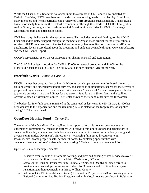While the Chase Men's Shelter is no longer under the auspices of CMR and is now operated by Catholic Charities, UUCR members and friends continue to bring meals to that facility. In addition, many members and friends participate in a variety of CMR programs, such as making Thanksgiving baskets for needy families in the Rockville community. Through the efforts of UUCR's Immigration Action Group, the congregation made an in-kind donation of its facilities for CMR's Language Outreach Program and citizenship classes.

CMR has many challenges for the upcoming years. This includes continual funding for the MKHC. Financial and volunteer support through the member congregations is crucial for the organization's survival. UUCR, as a member of the Rockville community, has an obligation to support CMR at its past historic levels. More detail about the programs and budget is available through www.cmrocks.org and the CMR annual report.

UUCR's representatives on the CMR Board are Johanna Marshall and Ken Sandin.

The 2014-2015 budget allocation for CMR is \$2,000 for general programs and \$1,000 for the Mansfield Kaseman Health Clinic. The full \$3,000 has been sent to CMR for the year.

#### **Interfaith Works—***Antonio Carrillo*

UUCR is a member congregation of Interfaith Works, which operates community-based shelters, a clothing center, and emergency support services, and serves as an important resource for the referral of people seeking assistance. UUCR's main activity has been "meals week" when congregants volunteer to provide breakfast, lunch, and dinner for one week in June for up to 35 residents at the Wilkins Avenue Women's Assessment Center. The Center provides shelter and other services for women.

The budget for Interfaith Works remained at the same level as last year: \$1,650. Of that, \$1,400 has been donated to the organization and the remaining \$250 is slated for use for purchase of supplies during UUCR's meals week.

#### **OpenDoor Housing Fund —***Terrie Barr*

The mission of the OpenDoor Housing Fund is to support affordable housing development in underserved communities. OpenDoor partners with forward-thinking investors and benefactors to create the financial, strategic, and technical assistance required to develop economically strong and diverse communities. OpenDoor's philosophy is "leveraging faith based investment to put low/moderate income people in safe, permanent homes by exploring opportunities with developers/managers of low/moderate income housing." To learn more, visit www.odhf.org.

OpenDoor's major accomplishments:

- Preserved over 25 units of affordable housing, and provided housing related services to over 75 individuals or families located in the Metro Washington, DC area.
- Catholics for Housing, Prince William County, Virginia, and OpenDoor joined forces to provide home ownership counseling workshops for 38 renters and first time homebuyers transitioning to homeownership in Prince William County.
- Baltimore City REO (Real-Estate Owned) Reclamation Project OpenDoor, working with the National Community Stabilization Trust, teamed with a local housing developer in Baltimore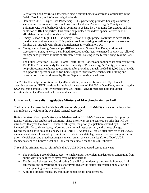City to rehab and return four foreclosed single-family homes to affordable occupancy in the Belair, Brooklyn, and Windsor neighborhoods.

- HomeFree USA OpenDoor Partnership This partnership provided housing counseling services and redeveloped foreclosed properties located in Prince George's County and Baltimore City neighborhoods which continue to be hard hit by ongoing foreclosures and the explosion of REO properties. This partnership yielded the redevelopment of five units of affordable single-family housing in fiscal 2014.
- Emory Beacon of Light CDC the Emory Beacon of Light project continues to serve 10-15 low-income families annually. This project provides housing as well as supportive services to families that struggle with chronic homelessness in Washington, DC.
- Montgomery Housing Partnership (MHP) Scattered Sites OpenDoor, working with Georgetown Bank, renewed a combined \$800,000 credit facility extended to MHP that allowed the agency to preserve 19 units of affordable rental housing in the Silver Spring/Takoma Park area.
- The Fuller Center for Housing Home Thrift Stores OpenDoor continued its partnership with The Fuller Center (formerly Habitat for Humanity of Prince George's County), a national nonprofit ecumenical housing organization, by providing a much-needed \$58,000 line of credit to support the operations of its two home supplies thrift stores, which resell building and construction materials donated by Home Depot to housing developers.

The 2014-2015 budget allocation for OpenDoor is \$350, which has been sent to OpenDoor for operating expenses. UUCR holds an institutional investment of \$10,000 in OpenDoor, maximizing the UUA matching amount. This investment earns 3% interest. UUCR members hold individual investments in OpenDoor and make annual donations.

#### **Unitarian Universalist Legislative Ministry of Maryland** *– Andrea Hall*

The Unitarian Universalist Legislative Ministry of Maryland (UULM-MD) advocates for legislation that reflects UU values in the Maryland General Assembly.

Before the start of each year's 90-day legislative session, UULM-MD selects three or four priority issues, working with established coalitions. These priority issues are centered on bills that will be introduced that year that foster UU values. This year, the priority legislation selected by UULM-MD included bills for paid sick leave, reforming the criminal justice system, and climate change. During the legislative session (January 14 to April 13), Andrea Hall tabled after services to let UUCR members and friends know of opportunities to contact their state legislators to express support for our priority legislation, and urged congregants to call, email, or visit their legislators. Two UUCR members attended a Lobby Night and Rally for the climate change bills in February.

Three of the criminal justice reform bills that UULM-MD supported passed this year:

- The Maryland Second Chance Act to shield certain nonviolent misdemeanor convictions from public view after a three to seven year waiting period;
- The Justice Reinvestment Coordinating Council Act to develop a statewide framework of sentencing and corrections policies to further reduce the state's incarcerated population and reduce spending on corrections; and
- A bill to eliminate mandatory minimum sentences for drug offenses.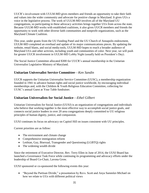UUCR's involvement with UULM-MD gives members and friends an opportunity to take their faith and values into the wider community and advocate for positive change in Maryland. It gives UUs a voice in the legislative process. The work of UULM-MD involves all of the Maryland UU congregations, so participating in these advocacy activities brings together UUs from across the state. Because UULM-MD works with established coalitions, it also gives UUCR members and friends the opportunity to work with other diverse faith communities and nonprofit organizations, such as the Maryland Climate Coalition.

This year, under grants from the UU Funding Panel and the UU Church of Annapolis endowment, UULM-MD completed an overhaul and update of its major communications pieces. By updating the website, email blasts, and social media tools, UULM-MD hopes to reach a broader audience of Maryland UUs and other activists, including youth and communities of color. Next year, we will push for greater UUCR involvement in UULM-MD Lobby Night (usually held on President's Day).

The Social Justice Committee allocated \$300 for UUCR's annual membership in the Unitarian Universalist Legislative Ministry of Maryland.

#### **Unitarian Universalist Service Committee**—*Ken Sandin*

UUCR supports the Unitarian Universalist Service Committee (UUSC), a membership organization founded in 1941 to advance human rights and social justice worldwide, by encouraging individual memberships and, with the Children & Youth Religious Education Committee, collecting for UUSC's annual Guest at Your Table fundraiser.

#### **Unitarian Universalists for Social Justice**—*Ethel Gilbert*

Unitarian Universalists for Social Justice (UUSJ) is an organization of congregations and individuals who believe that working together is the most effective way to accomplish social justice goals, and connects social justice leaders in over 20 area congregations deeply committed to UU religious principles of human dignity, justice, and compassion.

UUSJ continues its focus on advocacy on Capitol Hill on issues consistent with UU principles.

Current priorities are as follow:

- The environment and climate change
- Comprehensive immigration reform
- Lesbian, Gay, Bisexual, Transgender and Questioning (LGBTQ) rights
- The widening wealth divide

Since the retirement of Executive Director, Rev. Terry Ellen in June of 2014, the UUSJ Board has launched a Governance Task Force while continuing its programming and advocacy efforts under the leadership of Board Co-Chair, Lavona Grow.

UUSJ sponsored or co-sponsored the following events this year:

 "Beyond the Partisan Divide," a presentation by Revs. Scott and Anya Sammler-Michael on how we relate to UUs with different political views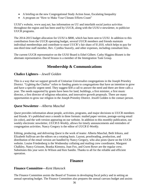- A briefing on the new Congregational Study Action Issue, Escalating Inequality
- A program on "How to Make Your Climate Efforts Count"

UUSJ's website, www.uusj.net, has information on UU and interfaith social justice activities throughout the region and has been used by UUCR, along with the UUSJ e-newsletter, to publicize UUCR programs.

The 2014-2015 budget allocation for UUSJ is \$800, which has been sent to UUSJ. In addition to this contribution from the UUCR operating budget, several UUCR members and friends maintain individual memberships and contribute to meet UUCR's fair share of \$1,810, which helps to pay for one-third time staff member, Rev. Cynthia Snavely, and other expenses, including consultant fees.

The current UUCR representative on the UUSJ Board is Ethel Gilbert. Cathy Higgins-Bisnett is the alternate representative. David Strauss is a member of the Immigration Task Group.

#### **Membership & Communications**

#### **Chalice Lighters**—*Jewell Golden*

This is a way that we support growth of Unitarian Universalist congregations in the Joseph Priestley District. "Lighting the Chalice" refers to funding grants to congregations that have an intention to grow and have a specific urgent need. They suggest \$30 a call to answer the need and there are three calls a year. The needs supported by grants have been for land, buildings, a first minister, a first music director, a first director of religious education, and innovative growth proposals. There are many opportunities to grow our religion in the Joseph Priestley District. Jewell Golden is the contact person.

#### *Quest* **Newsletter**—*Alberta Maschal*

*Quest* provides information about people, activities, programs, and major decisions to UUCR members and friends. It's published once a month in three formats: mailed paper version, postage-saving email (in color), and the web version appearing on our website. In addition to this monthly publication, our weekly electronic newsletter, *UUCR E-Weekly*, allows for timely announcements and reminders of congregation activities. Nancy Gregory is the editor of *UUCR E-Weekly*.

Editing, producing, and delivering *Quest* is the work of teams: Alberta Maschal, Beth Irikura, and Elizabeth Sullivan are the editors on a rotating basis. Layout, proofreading, production, and distribution of the email version are handled by Nancy Gregory, who also posts *Quest* on the UUCR website. Louise Friedenberg is the Wednesday collating and mailing crew coordinator, Margaret Chalkley, Nancy Grissom, Branka Kienstra, Joan Fox, and Gwen Rowe are the regular crew. Substitutes this year were Jo Wilson and Ken Sandin. Thanks to all for the reliable and efficient operation.

#### **Finance**

#### **Finance Committee—***Kent Hancock*

The Finance Committee assists the Board of Trustees in developing fiscal policy and in setting an annual operating budget. The Finance Committee also prepares the annual canvass budget and assists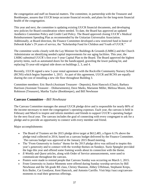the congregation and staff on financial matters. The committee, in partnership with the Treasurer and Bookkeeper, assures that UUCR keeps accurate financial records, and plans for the long-term financial health of the congregation.

This year and next, the committee is updating existing UUCR financial documents, and developing new policies for Board consideration where needed. To date, the Board has approved an updated Aesthetics Committee Policy and Credit Card Policy. The Board approved closing UUCR's Medical Reimbursement Spending Plan as recommended by the Unitarian Universalist Association. Additionally, at Board direction, the Finance Committee developed a new restricted fund in honor of Deborah Kahn's 29 years of service, the "Scholarship Fund for Children and Youth of UUCR."

The committee works closely with the Lay Minister for Buildings & Grounds (LMBG) and the Church Administrator on identifying needed capital improvements for our aging facilities. This year, the LMBG submitted UUCR's first ever 5-year Capital Plan to the Board. The Board approved the highest priority items, such as automated doors for the handicapped, graveling the lower parking lot, and replacing 55-year-old original side doors on buildings 2, 3, and 4.

Recently, UUCR signed a new 5-year rental agreement with the Rockville Community Nursery School (RCNS) which begins September 1, 2015. As part of this agreement, UUCR and RCNS are equally sharing the cost of installing a new tile floor throughout Building 3.

Committee members: Eric Burch (Assistant Treasurer - Deposits), Kent Hancock (Chair), Barbara Harrison (Assistant Treasurer – Disbursements), Dave Marks, Marianne Miller, Melissa Moore, Julie Robinson (Treasurer), Martha Taylor (Bookkeeper), and Bill Newhouse

#### **Canvass Committee**—*Bill Newhouse*

The Canvass Committee manages the annual UUCR pledge drive and is responsible for nearly 80% of the income necessary to meet the congregation's operating expenses. Each year, the canvass is held in February and March to inspire and inform members and friends to support UUCR's operating budget for the next fiscal year. The canvass includes the goal of connecting with every congregant to ask for a pledge and to provide an opportunity to connect with every member and friend.

Major accomplishments:

- The Board of Trustees set the 2015 pledge drive target at \$612,485, a figure 6.1% above the pledge total collected in 2014, based on a canvass budget delivered by the Finance Committee. The canvass budget was approved at the January 2015 Board meeting.
- The "From Generosity to Justice" theme for the 2015 pledge drive was utilized to inspire this year's generosity and to connect with the worship themes on Sundays. Suzie Spangler provided the logo this year and offered some framing words about its connection with the theme.
- *E-Weekly* and *Quest* articles, along with Order of Service announcements, were used to communicate throughout the canvass.
- Posters were made to remind people that Canvass Sunday was occurring on March 1, 2015.
- From Generosity to Justice Moments were offered during Sunday worship services by Bill Newhouse and the 5th grade RE class, Christy Shannon, Abbey Uffelman, Stephanie Kreps, Kris Butler, Cat Goodyear, Kent Hancock, and Antonio Carrillo. Visit http://uucr.org/canvassmoments to read their generous offerings.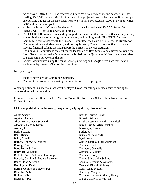- As of May 4, 2015, UUCR has received 236 pledges (107 of which are increases, 21 are new) totaling \$546,600, which is 89.3% of our goal. It is projected that by the time the Board adopts an operating budget for the next fiscal year, we will have collected \$579,000 in pledges, which is 94% of the canvass goal.
- At the conclusion of Canvass Sunday on March 1, we had collected \$343,374 from 100 pledges, which took us to 56.1% of our goal.
- The UUCR staff provided outstanding support for the committee's work, with especially strong support in the areas of printing, communication, and mailing needs. The UUCR Canvass Committee works closely with the Finance Committee, the Board of Trustees, the Director of Communications and Membership, and the Lay Ministry Council to ensure that UUCR can meet its financial obligations and support the mission of the congregation.
- The Canvass Committee is grateful for the leadership of Rev. Strauss and enjoyed weaving the From Generosity to Justice Moments and submissions for *Quest*, the *E-Weekly*, and the Orders of Service into her worship themes.
- Canvass documented using the canvasschair@uucr.org and Google drive such that it can be easily used by the next Chair of the committee.

Next year's goals:

- Identify new Canvass Committee members.
- Commit to one-on-one canvassing for one-third of UUCR pledgers.

A disappointment this year was that weather played havoc, cancelling a Sunday service during the canvass along with a reception.

Committee members: Bruce Baskett, Melissa Moore, Bill Newhouse (Chair), Julie Robinson, and Christy Shannon

#### **UUCR is grateful to the following people for pledging during this year's canvass**:

| Abott, Stacey                      | Brandt, Larry & Susan             |
|------------------------------------|-----------------------------------|
| Aguilar, Antonio                   | Brigatti, Adriana                 |
| Allen, Amy Greene & David          | Bright, Roselie & Mark Lewandoski |
| Alzouma, Dana & Karim              | Burch, Eric & Arlyn Sanchez       |
| Asman, Jill                        | Burroughs, Charles                |
| Baillie, Diane                     | Butler, Kris                      |
| Bain, Henry                        | Buzy, Joel & Wendy                |
| Baku, Esmail                       | Byrd, Anne                        |
| Barnes, Andrew & Dolores           | Calder, Katie & Mark Abraham      |
| Barney, Carol                      | Campbell, Bob                     |
| Barr, Terrie & Jim                 | Campbell, Gaynelle                |
| Barry, Bill & Diana                | Campbell, Paulette                |
| Baskett, Bruce & Emily Untermeyer  | Campbell, Polly                   |
| Bauerle, Cynthia & Robbie Reasoner | Carnes-Stine, John & Brad         |
| Beach, John & Susan                | Carrillo, Suzanne & Antonio       |
| Bennington, David                  | Carvajal, Ricardo & Mary          |
| Bertka, Connie & Yingwei Fei       | Cerny, Lana & Louis               |
| Blue, Jim & Lee                    | Chalkley, Margaret                |
| Bolland, Silvia                    | Chamberlain, Irv & Sherry Henry   |
| Bradshaw, Pat                      | Chapin, Patricia & William        |
|                                    |                                   |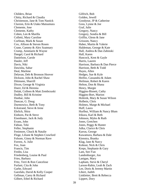Childers, Brian Chitty, Richard & Claudia Christenson, Jane & Tom Nastick Claxton, Erin & Utako Matsumura Clemente, Jose Clemente, Kathy Cohen, Len & Marilla Colletti, Mary Caroline Corfman, Mark & Susan Cox, Allison & Steven Rosen Crane, Cammy & Alex Szatmary Crump, Annmarie & Wayne Dangel, Carol & Richard Danielson, Carole Dauler, Jeff Davis, Niki Dawisha, Sahar Deal, Marlene Delavan, Deb & Bronson Hoover Dickson, John & Rachel Shaw Dittmann, Sharrill Dixon, George & Virginia Doerr, Ed & Herenia Dolak, Colleen & Matt Zembrzuski Dudley, Bill & Kristine Dunbar, John Duncan, G. Doug Durmowicz, Beth & Tony Eckstrand, Steve & Irene Ehrlich, Shira Einhorn, Pat & Steve Eisenhauer, Jack & Judy Evans, John Fabian, Teki Feller, Stephanie Fenimore, Chuck & Natalie Floge, Liliane & Stephen Crawford Folsom, Ginny & Norman Rave Forrest, A. Julie Fox, Joan Francis, Tim Fredin, Lisa Friedenberg, Louise & Paul Fries, Barbara Fritz, Terri & Ron Cancelose Furlani, Cita & John Garbe, Edward Garofalo, David & Kelly Cooper Gellman, Carey & Richard Gilbert, Ethel & Richard

Gilfrich, Bob Golden, Jewell Goodyear, JP & Catherine Goss, Lynne & Joe Graf, Julie Gregory, Nancy Gregory, Sondra & Bill Griffin, Glenn & Jane Grissom, Nancy Haber, Martin & Valerie Haldeman, George & Kate Hall, Andrea & Dan Zabinski Hall, Karen Hancock, Kent & Gayle Harris, Lauren Harrison, Barbara & Dan Pierce Harrison, Beth & Todd Hayes, Allen Hedges, Sue & Kyle Heifitz, Cassandra & Adam Heilman, Robert & Karen Helton, Don & Shana Henry, Margie Higgins-Bisnett, Cathy Higgins-Bort, Marion Hoferek, Mary & Susan Wilson Holbein, Chris Holmes, Marge & Michael Huff, Laura Hurlbut, William & Nancy Blum Irikura, Karl & Beth Johnson, Myles & Ruth Jones, Gretchen Jones, Peggy & Hunter Julka, Clarice & Chris Karras, George Kawamura, Barbara & Dale Kienstra, Branka Klag, Jane & Narcy Kohout, Nick & Chris Kreps, Stephanie & Gary Lam, See-Yan Landenburger, Jon Lanigan, Mary Lapham, Steve & Cheryl Larson-Rabin, Leah & Zach Lee, Doris & Jeremy Martin Libert, Judith Linkletter, Brett & Rebecca Lippert, Dory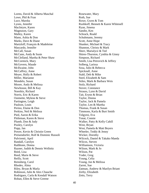Lorms, David & Alberta Maschal Lowe, Phil & Fran Luce, Marsha Lyons, Jennifer MacIntyre, Karen Magnuson, Gary Malley, Karen Mann, Ashia & Don Marks, Dave & Diane Martzloff, François & Madeleine Mascardo, Jennifer McCall, Susan McCann, Andy & Susie McClelland, Martha & Peter Shaw McCormick, Mary McGovern, Maude McIlwaine, John McCaffrey, Anne Meyer, Holly & Robert Miller, Marianne Mondelo, Susan Moore, Andy & Melissa Newhouse, Bill & Kay Noreikis, Richard Norris, Eric & Karen Ouimette, Mylene & Steve Partington, Leigh Paulson, Louis Perino, Elaine & Don Perkins, Neil & Melissa Pied, Aaron & Erika Pittleman, Karen & Steve Plumb, Don & Judy Pooley, Carolyn Popp, Jan Power, Kevin & Christin Green Preisendorfer, Rolf & Dominic Russoli Pulvirenti, April Randall, Carolyn Rathbone, Donna Rayner, Judith & Dennis Wellnitz Reed, Lisa Reed, Marie & Steve Reilly, Scott Reinsberg, Carol Rhodes, Alma Riley, Bryan & Marla Robinson, Julie & Alex Chauche Rodriguez, Carla & Kendall Watson Rohan, Ellen & Steve Greene

Rosewater, Mary Roth, Sue Rowe, Gwen & Tom Rushkoff, Bennett & Karen Whitesell Ryan, Jimena Sandin, Ken Schrack, Roald Schuhmann, Jeremy Scott, Anne Hope Shanker, Michael & Tracy Shannon, Christy & Mark Sherr, Marialyce & Ted Shires-Thurston, Cynthia & Ginny Simpson, Richard Smith, Lisa Petrovich & Jeffrey Solberg, Larissa Sosa, Julio & Rebecca Spicknall, Anne Stahl, Deb & Mike Steel, Elizabeth & Sam Stiles, Mark & Barbara Weis Stolz, Richard Stover, Constance Strauss, Lynn & David Tait, Erynn & Brian Taylor, Donna Taylor, Jack & Pamela Taylor, Len & Martha Thomas, Frank & Susan Timmons, Karla & Burt Smith Tolgyesi, Eva Tonat, Connie Walker, Patty & Kelly Cahill West, Bryan West, Pamela & Matt Beyers Wheeler, Teddy & Jenny Wicker, Dorothy Wilcock, Daniel & Takako Maeda Wilcox, Steven Williamson, Victoria Wilson, Mark & Jo Wilson, Pat Yoder, Greg Young, Celia Young, Joe & Melissa Zarret, Sue Zatman, Andrew & Marilyn Briant Zerby, Elizabeth Zetts, Terry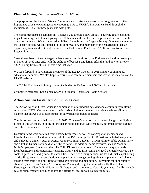#### **Planned Giving Committee**—*Sharrill Dittmann*

The purposes of the Planned Giving Committee are to raise awareness in the congregation of the importance of estate planning and to encourage gifts to UUCR's Endowment Fund through the inclusion of UUCR in those plans and with gifts.

The committee hosted a seminar on "Changes You Should Know About," covering estate planning, impact investing, and planned giving. Len Cohen made the well-received presentation, and a number of visitors attended. We also worked with Rev. Lynn Strauss on Legacy Sunday. One new member to the Legacy Society was introduced to the congregation, and members of the congregation had an opportunity to make direct contributions to the Endowment Fund. Over \$2,000 was contributed on Legacy Sunday.

Several members of the congregation have made contributions to the Endowment Fund in memory or in honor of loved ones and, with the addition of bequests and larger gifts, the fund now totals over \$322,000, up from \$300,000 at this time last year.

We look forward to having more members of the Legacy Society in 2015 and to continuing our educational seminars. We also hope to recruit new committee members and revise the materials on the UUCR website.

The 2014-2015 Planned Giving Committee budget is \$500 of which \$72 has been spent.

Committee members: Len Cohen, Sharrill Dittmann (Chair), and Roald Schrack

#### **Action Auction Fiesta Cruise**—*Colleen Dolak*

The Action Auction Fiesta Cruise is a combination of a fundraising event and a community building activity for UUCR. Our focus was to be inclusive of all our members and friends while striking a balance that allowed us to raise funds for our varied congregation needs.

The Action Auction was held on May 2, 2015. This year's Auction had a theme change from Spring Fiesta to Fiesta Cruise. In doing so, the décor, food, and logo were changed, but much of the signage and other resources were reused.

Donation items were solicited from outside businesses, as well as congregation members and friends. This year's Auction set a record of over 155 items up for bid. Donations included many ethnic and innovative dinners, such as French Country Dining, a Locally Grown Farm to Table Dinner Party, and a Polish Dinner Party held at members' homes. In addition, some favorites, such as Mamma Miller's Spaghetti Dinner and the Julia Child Dinner Party returned. There were many gift cards to local businesses and restaurants. Returning bakery and gourmet items included Incredible Carrot Cake, cookies, pies, flan, and gumbo, to name a few. There were many services up for bid, such as pet sitting, car detailing, veterinary consultation, computer assistance, gardening, financial planning, and classes ranging from music and nutrition to varied art sessions and meditation. Entertainment opportunities abounded, such as an Ashton Afternoon Jazz Piano gathering, the family-friendly Board Game Extravaganza, a Family Pool Party and Barbeque, and many more. New this year was a family-friendly catalog supplement which highlighted the offerings ideal for our younger families.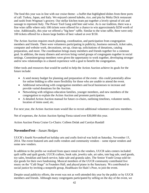The food this year was in line with our cruise theme - a buffet that highlighted dishes from three ports of call: Turkey, Japan, and Italy. We enjoyed catered kabobs, rice, and pita by Moby Dick restaurant and sushi from Wegman's grocery. Our stellar kitchen team put together a lovely spread of ziti and sausage to represent Italy. The Power Tool Gang sold beer and wine. As is our tradition, there was a fine wine raffle where only 100 tickets were offered for a chance to win approximately \$250 worth of wine. Additionally, this year we offered a "big beer" raffle. Similar to the wine raffle, there were only 100 tickets offered for a dozen large bottles of beer valued at over \$150.

The Action Auction requires much planning, coordination, and participation from congregation members and friends. There were volunteers participating in publicity, business outreach, ticket sales, computer and website work, decorations, set-up, clean-up, solicitations of donations, catalog preparation, and more. The coordination brings many members and friends together for a common goal. In addition, the many dinners and services bring varied groups of congregants together in social settings. Committee/group members were given the opportunity to work together, developing stronger and/or new relationships in a shared experience with a goal to benefit the congregation.

Other tools and resources that would be useful to help the Action Auction achieve its goals for the future include:

- A seed money budget for planning and preparation of the event this could potentially allow for online bidding to offer more flexibility for those who are unable to attend the event.
- Additional networking with congregation members and local businesses to increase and provide varied donations for the Auction.
- Networking with religious education families, younger members, and new members of the congregation to explain the Action Auction and promote participation.
- A detailed Action Auction manual for future co-chairs, outlining timelines, volunteer needs, location of items used, etc.

For next year, the Action Auction team would like to recruit additional volunteers and new members.

Net of expenses, the Action Auction Spring Fiesta raised over \$30,000 this year.

Action Auction Fiesta Cruise Co-Chairs: Colleen Dolak and Carolyn Randall

#### **NovemberFest**—*Susan Hedges*

UUCR's fourth NovemberFest holiday arts and crafts festival was held on Saturday, November 15, 2014. The event featured arts and crafts vendors and community vendors – some repeat vendors and some new vendors.

In addition to the profits we realized from space rental to the vendors, UUCR sales centers included: quilt raffle and quilt goods, UUCR crafters, book sale, jewelry sale, art sales, tote bag sale, used goods, toy sales, breakfast and lunch service, bake sale and granola sales. The Senior Youth Group sold tiedye goods for their own fundraising. Musical members of the UUCR community contributed live music on the "Café Stage" in Founders Hall, and played piano in the Sanctuary. We contributed to social justice by inviting a nonprofit group, Healthcare for Haiti's Poor, to join the event.

Despite usual publicity efforts, the event was not as well-attended this year by the public or by UUCR members and friends. Although many congregants participated by selling on the day of the event, we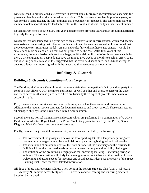were stretched to provide adequate coverage in several areas. Moreover, recruitment of leadership for pre-event planning and work continued to be difficult. This has been a problem in previous years, as it was for the Bizarre Bazaar, the fall fundraiser that NovemberFest replaced. The same small cadre of members took responsibility for leadership roles in the event, and it was really an insufficient number.

NovemberFest netted about \$8,000 this year, a decline from previous years and an amount insufficient to justify the large effort involved.

NovemberFest was launched four years ago as an alternative to the Bizarre Bazaar, which had become so massive an undertaking that it burned out leadership and became unsustainable. It was hoped that the NovemberFest fundraiser model – an arts and crafts fair with auxiliary sales centers – would be smaller and more sustainable, but that has not proven to be the case. After four years of this experiment, the event leader believes that a large, multimodal public fundraiser is not manageable for the UUCR congregation. People do not have the time to give weeks or months to such an effort, so no one is willing or able to lead it. It is suggested that the event be discontinued, and UUCR attempt to develop a fundraiser more aligned with the needs and time resources of modern life.

#### **Buildings & Grounds**

#### **Buildings & Grounds Committee**—*Mark Corfman*

The Buildings & Grounds Committee strives to maintain the congregation's facility and property in a condition that allows UUCR members and friends, as well as other end-users, to perform the wide variety of activities that take place here. There are basically three types of projects undertaken to accomplish this.

First, there are annual service contracts for building systems like the elevator and fire alarm, in addition to the regular service contracts for lawn maintenance and snow removal. These contracts are all managed ably by Donna Taylor, the Church Administrator.

Second, there are normal maintenance and repairs which are performed by a combination of UUCR's Facilities Coordinator, Bryant Taylor, the Power Tool Gang (volunteers led by Dan Pierce, Narcy Klag, and Mark Corfman), and contracted services.

Finally, there are major capital improvements, which this year included, the following:

- The conversion of the grassy area below the lower parking lot into a temporary parking area that enables congregation members and visitors to park during both good and bad weather.
- The installation of automatic doors at the front entrance of the Sanctuary and the entrance to Building 1 from the courtyard, enabling easier access for people with mobility challenges.
- The initiation of the preliminary design phase for renovating Building 1, including hiring an architect. This renovation will likely include upgrades to the kitchen and the creation of more welcoming and useful spaces for meetings and social events. Please see the report of the Space Planning Task Force for more detailed information.

All three of these improvements address a key point in the UUCR Strategic Plan (Goal 1, Objective 1.1, Activity 2): Improve accessibility of UUCR activities and welcoming and nurturing practices based on barriers audit.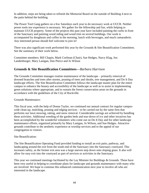In addition, steps are being taken to refinish the Memorial Board on the outside of Building 4 next to the patio behind the building.

The Power Tool Gang gathers on a few Saturdays each year to do necessary work at UUCR. Neither power tools nor experience is necessary. We gather for the fellowship and fun, while helping to maintain UUCR property. Some of the projects this past year have included painting the curbs in front of the Sanctuary and painting wood siding and wood trim on several buildings. Our work is accompanied by doughnuts and coffee in the morning, lunch with beverages, and much camaraderie. Any interested person should feel welcome to join in!

There was also significant work performed this year by the Grounds & Site Beautification Committees. See the summary of their work below.

Committee members: Bill Chapin, Mark Corfman (Chair), Sue Hedges, Narcy Klag, Jon Landenburger, Mary Lanigan, Dan Pierce and Jo Wilson

#### **Grounds & Site Beautification Committees—***Barbara Harrison*

The Grounds Committee manages routine maintenance of the landscape – primarily removal of downed branches and trees after storms, pruning of trees and shrubs, tree management, and Do It Day landscape efforts. The Site Beautification Committee follows the landscape master plan for the entire campus to enhance the beauty and accessibility of the landscape as well as to assist in implementing green solutions where appropriate, and to sustain the forest conservation areas on the grounds in accordance with the guidelines of the City of Rockville.

Grounds Maintenance:

This fiscal year, with the help of Donna Taylor, we continued our annual contract for regular campuswide clean-up, mulching, pruning and edging services – to be carried out by the same firm that performs our lawn mowing, raking, and snow removal. Considerable savings are achieved by bundling these activities. Additional weeding of the garden beds and tear-down of ivy and other invasives has been accomplished by the wonderful volunteers who come out on Do It Day and for other landscape maintenance efforts, organized primarily by Mary Lanigan, Jo Wilson, and Sue Hedges. Attractive grounds contribute to the aesthetic experience at worship services and to the appeal of our congregation to visitors.

#### Site Beautification:

The Site Beautification Operating Fund provided funding to install an exit patio, pathway, and landscaping around the exit from the south end of the Sanctuary into the Sanctuary courtyard. This increases safety, as the former exit area was a large uneven step down onto sloping grass. It also will allow for easy exit into the courtyard as part of services or activities in the Sanctuary.

This year we continued meetings facilitated by the Lay Minister for Buildings & Grounds. These have been very useful in helping to coordinate plans for landscape and grounds maintenance with many who are involved. We hope to continue this enhanced communication next year to involve all who are interested in the landscape.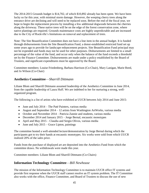The 2014-2015 Grounds budget is \$14,702, of which \$10,892 already has been spent. We have been lucky so far this year, with minimal storm damage. However, the weeping cherry trees along the entrance drive are declining and will need to be replaced soon. Before the end of the fiscal year, we hope to begin the replacement process by installing a few additional dogwoods between the cherries along the driveway. These native trees will be on the edge of the forest conservation zone, where native plantings are required. Grounds maintenance costs are highly unpredictable and are increased due to the City of Rockville's limitations on removal and replacement of trees.

Note: The Site Beautification Committee does not have a line item in the annual budget. It is funded through disbursements from the Site Beautification Fund, a donor-established restricted fund set up some years ago to provide for landscape enhancement projects. Site Beautification Fund principal may not be expended and funds may not be used for other purposes. Disbursements are limited to a small percentage of the value of the fund, and occur only when the balance of the fund exceeds a threshold set by the Finance Committee. Disbursements are made under a policy established by the Board of Trustees, and significant expenditures must be approved by the Board.

Committee members: Louise Friedenberg, Barbara Harrison (Co-Chair), Mary Lanigan, Marie Reed, and Jo Wilson (Co-Chair)

#### **Aesthetics Committee**—*Sharrill Dittmann*

Liliane Blom and Sharrill Dittmann assumed leadership of the Aesthetics Committee in June 2014, from the capable leadership of Laura Huff. We are indebted to her for nurturing a strong, wellorganized program.

The following is a list of artists who have exhibited at UUCR between July 2014 and June 2015:

- June and July 2014 The Paté Painters, various media
- August and September  $2014 12$  artists from Washington ArtWorks, various media
- October and November 2014 Patricia Zannie and students, various media
- December 2014 and January 2015 Jorge Bernal, encaustic monotypes
- April and May 2015 Claudia and Sergio Olivos, various media
- $\bullet$  June and July 2015 Grace Lipton, paintings

The committee hosted a well-attended lecture/demonstration by Jorge Bernal during which the participants got to try their hands at encaustic monotypes. Six works were sold from which UUCR realized 20% of the sales price.

Funds from the purchase of displayed art are deposited into the Aesthetics Fund from which the committee draws. No withdrawals were made this year.

Committee members: Liliane Blom and Sharrill Dittmann (Co-Chairs)

#### **Information Technology Committee**—*Bill Newhouse*

The mission of the Information Technology Committee is to maintain UUCR office IT systems and provide first response when the UUCR staff cannot resolve an IT system problem. The IT Committee also works with the office, Finance Committee, and Board of Trustees to discuss the use of new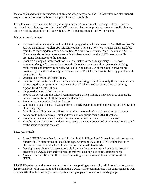technologies and to plan for upgrades of systems when necessary. The IT Committee can also support requests for information technology support for church activities.

IT systems at UUCR include the telephone system (our Private Branch Exchange – PBX -- and its associated desk phones), computers, the LCD projector, facsimile, printers, scanners, mobile phones, and networking equipment such as switches, DSL modems, routers, and WiFi routers.

Major accomplishments:

- Improved wifi coverage throughout UUCR by upgrading all the routers to TP-LINK Archer C2 AC750 Dual Band Wireless AC Gigabit Routers. There are now two wireless bands available from these more modern and secure routers. We are also only using "uucr" as our wifi SSID. The routers also offer a guest access which isolates users from the UUCR network while providing them access to the Internet.
- Procured a Google Chromebook for Rev. McCusker to use as his primary UUCR work computer. Google Chromebooks automatically update their operating system, simplifying maintenance and improving security while allowing native use of the Google drive storage provided by Gmail for all our @uucr.org accounts. The Chromebook is also very portable with long battery life.
- Updated our version of QuickBooks.
- Established accounts for all new staff members, offering each of them only the webmail access to uucr.org thus simplifying maintenance of email which used to require time consuming support to Microsoft Outlook.
- Supported all the staff office moves.
- Moved the server into the Church Administrator's office, adding a new switch to support the network connections of all the devices in that office.
- Procured a new monitor for Rev. Strauss.
- Continued to push the use of Google forms for RE registration, online pledging, and Fellowship Dinner sign-ups.
- Established mailing lists and aliases for all the congregation's email needs, supporting our policy not to publish private email addresses on our public facing UUCR website.
- Procured a new Windows 8 laptop that can be reserved for use at any UUCR event.
- Established the ability to scan documents using the UUCR copier and email the pdf file created by the scans to anyone on staff.

Next year's goals:

- Extend UUCR's broadband connectivity into both buildings 2 and 3, providing wifi for use on Sundays in RE classrooms in those buildings. At present, ECC and RCNS utilize their own DSL service and associated wifi to meet school administrative needs.
- Develop a new church database accessible from any Internet connected device by properly credentialed UUCR staff and volunteer members to support our congregational needs.
- Move all the staff files into the cloud, eliminating our need to maintain a server onsite at UUCR.

UUCR IT systems are vital to all church functions, supporting our worship, religious education, social justice and fellowship activities and enabling the UUCR staff to communicate with congregants as well as other UU churches and organizations, other faith groups, and other community groups.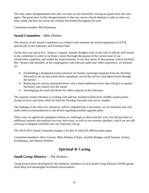The only major disappointment this year was that we are essentially reusing our goals from last year again. The good news in this disappointment is that our current church database is able to meet our basic needs and that our server has reliably functioned throughout the year.

Committee member: Bill Newhouse

#### **Sound Committee**—*Mike Holmes*

The mission of the Sound Committee is to enhance and maintain the sound equipment at UUCR, specifically in the Sanctuary and Founders Hall.

Earlier this year and at Rev. Strauss's request, Jennifer Rodgers took on the role of official staff liaison to the committee in order to facilitate a more thorough discussion of the current state of our sound/video capability and wishes for improvements. In our first series of discussions, which involved Rev. Strauss and members of the congregation with relevant audio and video experience, we focused on:

- Establishing a designated sound volunteer on Sunday mornings (separate from the Worship Steward) to set up and sound check equipment, record the service, and adjust levels through the service.
- Replacing our current automated mixer with a more traditional mixer that will give us greater flexibility and control over the sound.
- Investigating the need and desire for video capacity in the Sanctuary.

The separate sound volunteer is working well and has resulted in both more reliable sound quality during services and stress relief for both the Worship Stewards and service leaders.

The findings of the other two initiatives will be compiled into a document, not yet finalized, that will make some recommendations to the Board regarding possible upgrade paths.

There were no significant equipment failures or challenges to deal with this year. We did purchase an additional earpiece microphone (we now have two), as well as two monitor speakers, which we are still working to integrate smoothly into our Sanctuary set-up.

The 2014-2015 Sound Committee budget is \$1,402 of which \$1,486 has been spent.

Committee members: Steve Greene, Mike Holmes (Chair), Jennifer Rodgers (staff liaison), Jeremy Schuhmann, and Dennis Wellnitz

#### **Spiritual & Caring**

#### **Small Group Ministry**— *Pat Einhorn*

Using session plans developed by the ministers, members of each Small Group Ministry (SGM) group share deep and meaningful facilitated conversations.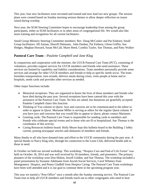This year, four new facilitators were recruited and trained and now lead two new groups. The session plans were created based on Sunday morning sermon themes to allow deeper reflection on issues raised during worship.

Next year, the SGM Steering Committee hopes to encourage leadership from among the group participants, either as SGM facilitators or in other areas of congregational life. We would also like more training and recognition for all current facilitators.

Small Group Ministry Steering Committee members: Rev. Doug McCusker and Pat Einhorn; Small Group facilitators: Jill Asman, Sharrill Dittmann, John Dunbar, Pat Einhorn, Glenn Griffin, Sue Hedges, Meghan Howard, Susan McCall, Marie Reed, Cynthia Taylor, Sue Thomas, and Patty Walker

#### **Pastoral Care Team**—*Paulette Campbell and Jane Klag*

In conjunction and cooperation with the minister, the UUCR Pastoral Care Team (PCT), consisting of volunteers, provides support services for UUCR members and friends who need assistance. These services are limited by capability and liability considerations. Team members personally provide some services and arrange for other UUCR members and friends to help as specific needs occur. The team furnishes transportation, runs errands, delivers meals during crises, visits people at home and in hospitals, sends cards and provides other services as needed.

Other major functions include:

- Memorial receptions: They are organized to honor the lives of those members and friends who have died during the past year. Several receptions have been catered this year with the assistance of the Pastoral Care Team. No fees are asked, but donations are gratefully accepted. Paulette Campbell chairs this function.
- Thinking of You column in *Quest*: Joys and concerns are to be communicated to the editor in order to appear in *Quest*. Marianne Miller is serving as editor for the regular *Quest* column. If you have joys and concerns that you would like to appear in *Quest*, please contact Marianne.
- Greeting cards: The Pastoral Care Team is responsible for sending cards to members and friends who celebrate special events and to those who are ill or hospitalized. Sue Thomas is the coordinator of this activity.
- Caring Resources bulletin board: Holly Meyer kept this bulletin board in the Building 1 lobby current, posting newspaper articles and obituaries of members and friends.

Many thanks to all who have donated time and effort to the UUCR community during the past year. A special thanks to Narcy Klag who, through his connection to the Lions Club, delivered health aids to those in need.

In October we held our second workshop. This workshop, "Hospice Care and End-of Life Forms" was held on October 18, 2014 and was well received by 50 members, friends, and presenters. The primary planners of the workshop were Don Helton, Jewell Golden, and Sue Thomas. The workshop included a panel presentation by Suzanne Adelmann from Jewish Social Services, Carol Whitney from Montgomery Hospice, and Penny Gladhill from Hospice Caring. The Pastoral Care Team workshops have been well attended and it is our goal to continue them in the upcoming program year.

This year we started a "Post Office" once a month after the Sunday morning service. The Pastoral Care Team tries to help all UUCR members and friends reach out to other congregants who need to hear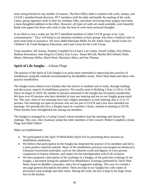from caring friends for any number of reasons. The Post Office table is stocked with cards, stamps, and UUCR's member/friend directory. PCT members staff the table and handle the mailing of the cards. Lately, group signature cards to shut-ins, birthday folks, and those recovering from surgery have been a most thoughtful addition to the effort. However, all types of cards are made available, even beautiful blank note papers for those who wish to take the time to write more personal thoughts.

In an effort to cast a wider net, the PCT identified members of other UUCR groups to be "care communicators." They will bring to our attention members in their groups who have a medical crisis or need some kind of assistance. We have added Marianne Miller for the Adult Choir, David Lorms for Children's & Youth Religious Education, and Lana Cerny for the Craft Group.

Team members: Jill Asman, Paulette Campbell (Co-Chair), Len Cohen, Jewell Golden, Don Helton, Barbara Kawamura, Jane Klag (Co-Chair), Fran Lowe, Susan McCall, Martha McClelland, Holly Meyer, Marianne Miller, Marie Reed, Marialyce Sherr, and Sue Thomas

#### **Spirit of Life Sangha** —*Liliane Floge*

The mission of the Spirit of Life Sangha is to assist those interested in improving their practice of mindfulness using the methods recommended by the Buddhist monk, Thich Nhat Hanh and others who practice mindfulness.

The Sangha meets almost every Sunday after the service to meditate and to study, through readings and discussion, aspects of mindfulness practice. We usually meet in Building 2 from 11:20 to 12:30. Since we began in 2010, the number of persons interested in the Sangha has increased considerably. We have over 45 persons who have attended at least one meeting and are on our Sangha group email list. This year, more of our meetings have had a higher attendance at each meeting: that is 12 to 15 persons. Our meetings are open to persons who are not part of UUCR and a few have attended our meetings. We periodically have a Sangha lunch at a member's home, instead of meeting at UUCR. These lunches have strengthened ties among our members.

The Sangha is managed by a Caring Council whose members lead the meetings and choose the readings. This year, Alex Szatmary joined the other members of the Council: Robert Campbell, Liliane Floge and Ethel Gilbert.

Major accomplishments:

- We participated in the April 19 Mind-Body-Spirit Fair by presenting three sessions on mindfulness meditation.
- We believe that participation in the Sangha has deepened the practice of its members and led to a more positive spiritual outlook. Many of the mindfulness practices encouraged are identical to Unitarian Universalist principles, such as: the inherent worth and dignity of every person; compassion in human relations; and respect for the interdependent web of all existence.
- We have prepared a description of the workings of a Sangha, of the particular workings of our Sangha, a document listing the updated Five Mindfulness Trainings (authored by Thich Nhat Hanh, based on Buddha's precepts), and a list of suggested readings. This year we created a one page general description document. These are kept in our Sangha box with copies of previously used readings and other items. During the week, the box is kept in the large closet next to the kitchen.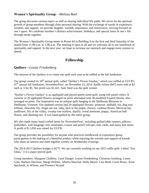#### **Women's Spirituality Group**—*Melissa Rael*

The group discusses various topics as well as sharing individual life paths. We strive for the spiritual growth of group members through close personal sharing. With the exchange of words in experience, wisdom, and support, we provide laughter, warmth, inspiration, and reassurance, moving forward on one's quest. We celebrate member's distinct achievements, birthdays, and special times in one's life through meals together.

The Women's Spirituality Group meets in Room 44 in Building 4 on the first and third Saturday of the month from 11:00 a.m. to 1:00 p.m. The meeting is open to all and we welcome all to our sisterhood of spirituality and support. In the next year, we hope to increase our outreach and engage more women to attend.

#### **Fellowship**

#### **Quilters—***Louise Friedenberg*

The mission of the Quilters is to create one quilt each year to be raffled at the fall fundraiser.

Our group created its 34<sup>th</sup> annual quilt, called "Quilter's Flower Garden," which was raffled at UUCR's 47<sup>th</sup> annual fall fundraiser, NovemberFest!, on November 15, 2014. Raffle tickets (847) were sold at \$2 each or 3 for \$5. Net profit was \$1,421. Sam Steel was the quilt winner.

"Quilter's Flower Garden" is an appliquéd and pieced queen-sized quilt, using soft pastel colors. It consists of 20 appliquéd flowers arranged on point alternated with 30 modified 9-patch blocks, also arranged on point. Our inspiration was an antique quilt hanging in the Shelburne Museum in Shelburne, Vermont. Our updated version had 20 appliquéd flowers: primrose, daffodil, iris, dog rose, trillium, chocolate lily, forget me not, tulip, Jack in the pulpit, chicory, cardinal flower, Mexican hat, sunflower, lily of the valley, swamp rose mallow, daylily, wood anemone, poppy, American bell flower, and shooting star. It was hand-quilted by the entire group.

We also made many hand-crafted items for NovemberFest!, including quilted table runners, pillows, potholders, wall hangings, tree ornaments, crayon and pencil roll-ups, note cards, and many knit items. A profit of \$ 1,056 was raised for UUCR.

Our group provides the possibility for anyone who practices needlework to experience group participation in the making of a beautiful product while enjoying the warmth and support of friends who share an interest and meet together weekly on Wednesday evenings.

The 2014-2015 Quilters budget is \$275. We are currently working on our 2015 raffle quilt. Called "Sea Glass," it is a paper-pieced quilt.

Group members: Margaret Chalkley, Carol Dangel, Louise Friedenberg, Christina Ginsburg, Lynne Goss, Barbara Harrison, Marge Holmes, Alberta Maschal, Holly Meyer, Lisa Reed, Gwen Rowe, Anne Spicknall, Jo Wilson, and Florence Wyand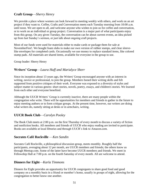#### **Craft Group**—*Sherry Henry*

We provide a place where women can look forward to meeting weekly with others, and work on an art project if they want to. Coffee, Crafts and Conversation meets each Tuesday morning from 10:00 a.m. until noon. We are open to all, and welcome anyone who wishes to join us for coffee and conversation, or to work on an individual or group project. Conversation is a major part of what participants enjoy from this group. On any given Tuesday, the conversation can be about current events, an idea picked up from last Sunday's sermon, or just talk about ongoing craft projects.

Most of our funds were used for materials either to make cards or package them for sale at NovemberFest!. We bought foam slabs to make our own version of rubber stamps, and clear sleevelike envelopes for completed cards. Occasionally we use money to replace standard items, like colored stamp pads. All materials are shared items, available for everyone in the group to use.

Group leader: Sherry Henry

#### **Writers' Group**—*Laura Huff and Marialyce Sherr*

Since its inception about 13 years ago, the Writers' Group encouraged anyone with an interest in writing, novice or professional, to join the group. Members honed their writing skills and felt supported from positive critiques of their work. Everyone was exposed to a diversity of styles and subject matter in various genres: short stories, novels, poetry, essays, and children's stories. We learned from each other and everyone benefited.

Although the UUCR Writers' Group is currently inactive, there are many people within the congregation who write. There will be opportunities for members and friends to gather in the future to enjoy meeting authors or to form critique groups. At the present time, however, our writers are doing what writers do, namely sitting at desks or in armchairs, writing.

#### **UUCR Book Club**—*Carolyn Pooley*

The Book Club meets at 2:00 p.m. on the first Thursday of every month to discuss a variety of fiction and nonfiction books. All members and friends of UUCR who enjoy reading are invited to participate. Books are available at local libraries and through UUCR's link to Amazon.com.

#### **Socrates Café Rockville** —*Ken Sandin*

Socrates Café Rockville, a philosophical discussion group, meets monthly. Roughly half the participants, averaging about 12 per month, are UUCR members and friends; the others know us through Meetup.com. Some of the latter have become UUCR members and friends. We meet in Fellowship Hall at 7:00 p.m. on the fourth Saturday of every month. All are welcome to attend.

#### **Dinners for Eight**—*Karla Timmons*

Dinners for Eight provides an opportunity for UUCR congregants to share good food and good company on a monthly basis in a friend or member's home, usually in groups of eight, allowing for the congregation to better know one another.